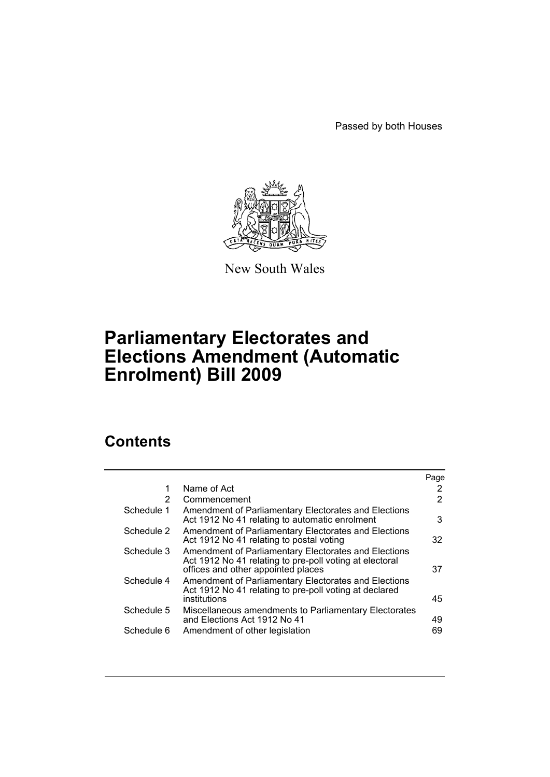Passed by both Houses



New South Wales

# **Parliamentary Electorates and Elections Amendment (Automatic Enrolment) Bill 2009**

# **Contents**

|            |                                                                                                                                                       | Page |
|------------|-------------------------------------------------------------------------------------------------------------------------------------------------------|------|
| 1          | Name of Act                                                                                                                                           | 2    |
| 2          | Commencement                                                                                                                                          | 2    |
| Schedule 1 | Amendment of Parliamentary Electorates and Elections<br>Act 1912 No 41 relating to automatic enrolment                                                | 3    |
| Schedule 2 | Amendment of Parliamentary Electorates and Elections<br>Act 1912 No 41 relating to postal voting                                                      | 32   |
| Schedule 3 | Amendment of Parliamentary Electorates and Elections<br>Act 1912 No 41 relating to pre-poll voting at electoral<br>offices and other appointed places | 37   |
| Schedule 4 | Amendment of Parliamentary Electorates and Elections<br>Act 1912 No 41 relating to pre-poll voting at declared<br>institutions                        | 45   |
| Schedule 5 | Miscellaneous amendments to Parliamentary Electorates<br>and Elections Act 1912 No 41                                                                 | 49   |
| Schedule 6 | Amendment of other legislation                                                                                                                        | 69   |
|            |                                                                                                                                                       |      |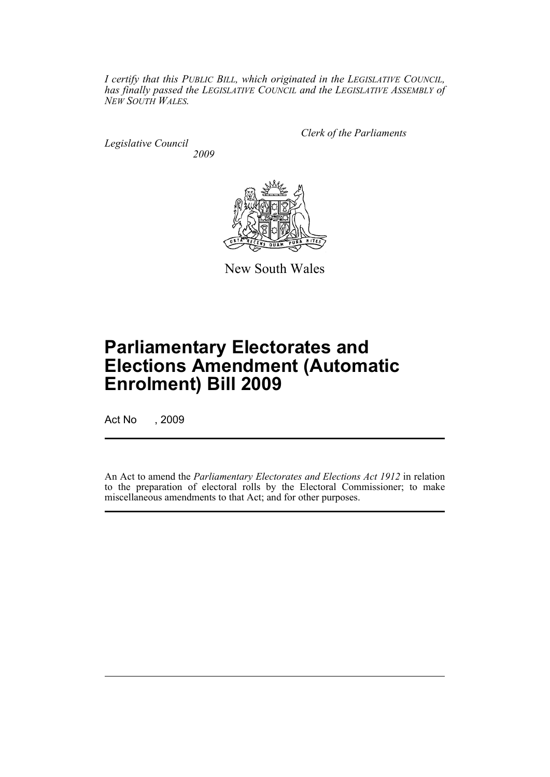*I certify that this PUBLIC BILL, which originated in the LEGISLATIVE COUNCIL, has finally passed the LEGISLATIVE COUNCIL and the LEGISLATIVE ASSEMBLY of NEW SOUTH WALES.*

*Legislative Council 2009* *Clerk of the Parliaments*



New South Wales

# **Parliamentary Electorates and Elections Amendment (Automatic Enrolment) Bill 2009**

Act No , 2009

An Act to amend the *Parliamentary Electorates and Elections Act 1912* in relation to the preparation of electoral rolls by the Electoral Commissioner; to make miscellaneous amendments to that Act; and for other purposes.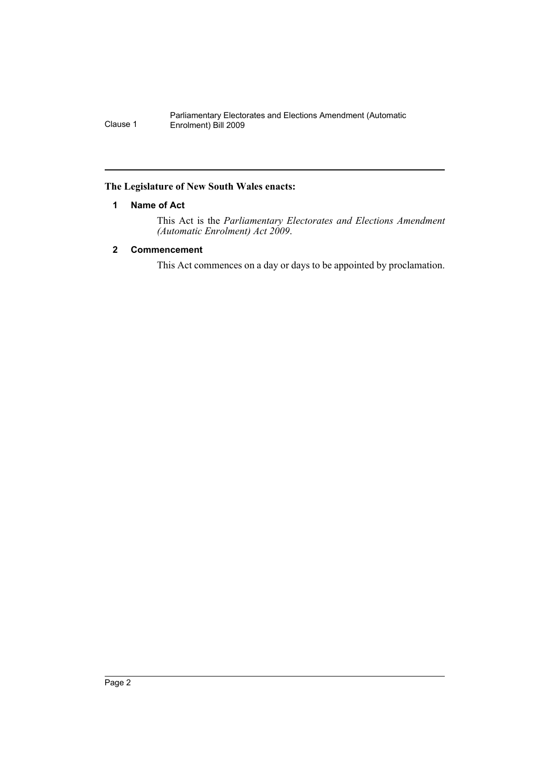#### <span id="page-3-0"></span>**The Legislature of New South Wales enacts:**

## **1 Name of Act**

This Act is the *Parliamentary Electorates and Elections Amendment (Automatic Enrolment) Act 2009*.

## <span id="page-3-1"></span>**2 Commencement**

This Act commences on a day or days to be appointed by proclamation.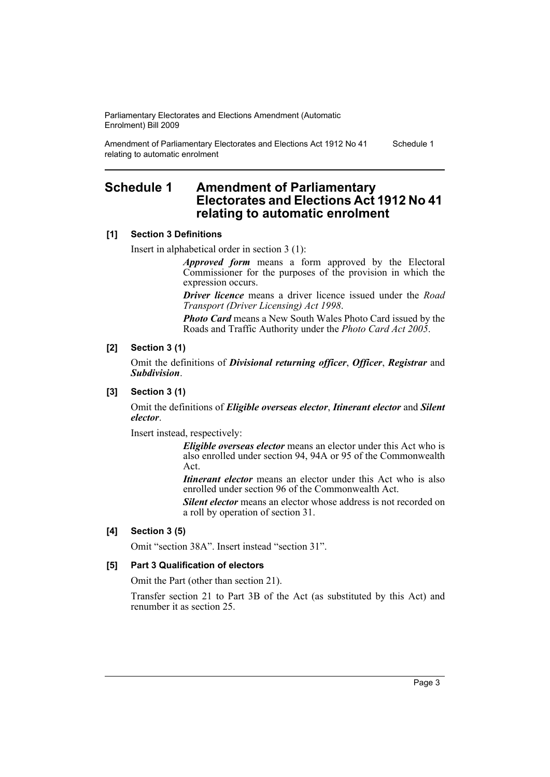Amendment of Parliamentary Electorates and Elections Act 1912 No 41 relating to automatic enrolment

#### Schedule 1

# <span id="page-4-0"></span>**Schedule 1 Amendment of Parliamentary Electorates and Elections Act 1912 No 41 relating to automatic enrolment**

#### **[1] Section 3 Definitions**

Insert in alphabetical order in section 3 (1):

*Approved form* means a form approved by the Electoral Commissioner for the purposes of the provision in which the expression occurs.

*Driver licence* means a driver licence issued under the *Road Transport (Driver Licensing) Act 1998*.

*Photo Card* means a New South Wales Photo Card issued by the Roads and Traffic Authority under the *Photo Card Act 2005*.

#### **[2] Section 3 (1)**

Omit the definitions of *Divisional returning officer*, *Officer*, *Registrar* and *Subdivision*.

#### **[3] Section 3 (1)**

Omit the definitions of *Eligible overseas elector*, *Itinerant elector* and *Silent elector*.

Insert instead, respectively:

*Eligible overseas elector* means an elector under this Act who is also enrolled under section 94, 94A or 95 of the Commonwealth Act.

*Itinerant elector* means an elector under this Act who is also enrolled under section 96 of the Commonwealth Act.

*Silent elector* means an elector whose address is not recorded on a roll by operation of section 31.

#### **[4] Section 3 (5)**

Omit "section 38A". Insert instead "section 31".

#### **[5] Part 3 Qualification of electors**

Omit the Part (other than section 21).

Transfer section 21 to Part 3B of the Act (as substituted by this Act) and renumber it as section 25.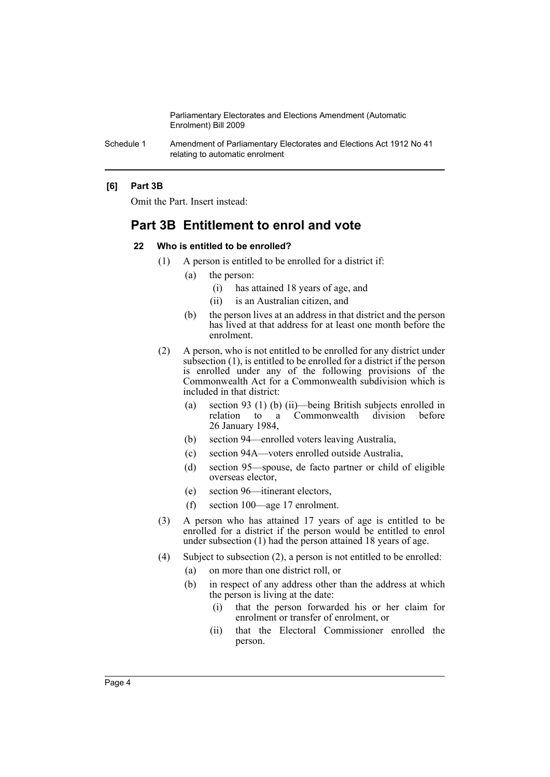Schedule 1 Amendment of Parliamentary Electorates and Elections Act 1912 No 41 relating to automatic enrolment

#### **[6] Part 3B**

Omit the Part. Insert instead:

## **Part 3B Entitlement to enrol and vote**

#### **22 Who is entitled to be enrolled?**

- (1) A person is entitled to be enrolled for a district if:
	- (a) the person:
		- (i) has attained 18 years of age, and
		- (ii) is an Australian citizen, and
	- (b) the person lives at an address in that district and the person has lived at that address for at least one month before the enrolment.
- (2) A person, who is not entitled to be enrolled for any district under subsection (1), is entitled to be enrolled for a district if the person is enrolled under any of the following provisions of the Commonwealth Act for a Commonwealth subdivision which is included in that district:
	- (a) section 93 (1) (b) (ii)—being British subjects enrolled in relation to a Commonwealth division before a Commonwealth division before 26 January 1984,
	- (b) section 94—enrolled voters leaving Australia,
	- (c) section 94A—voters enrolled outside Australia,
	- (d) section 95—spouse, de facto partner or child of eligible overseas elector,
	- (e) section 96—itinerant electors,
	- (f) section 100—age 17 enrolment.
- (3) A person who has attained 17 years of age is entitled to be enrolled for a district if the person would be entitled to enrol under subsection (1) had the person attained 18 years of age.
- (4) Subject to subsection (2), a person is not entitled to be enrolled:
	- (a) on more than one district roll, or
	- (b) in respect of any address other than the address at which the person is living at the date:
		- (i) that the person forwarded his or her claim for enrolment or transfer of enrolment, or
		- (ii) that the Electoral Commissioner enrolled the person.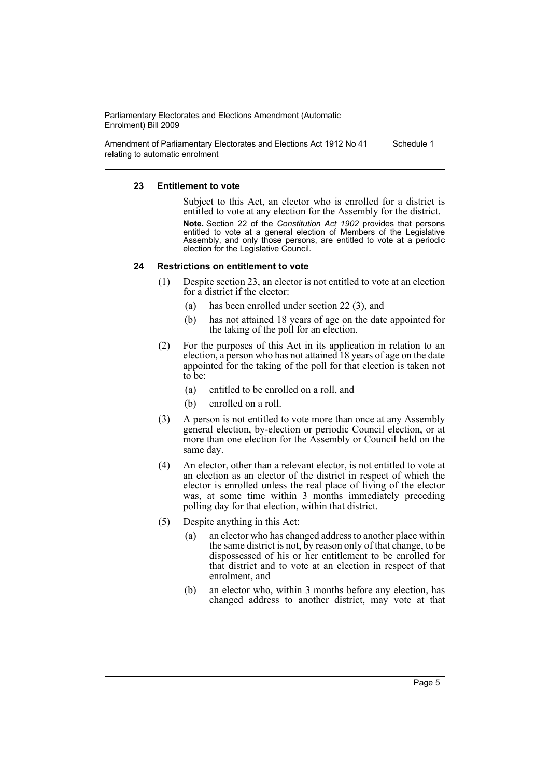Amendment of Parliamentary Electorates and Elections Act 1912 No 41 relating to automatic enrolment Schedule 1

#### **23 Entitlement to vote**

Subject to this Act, an elector who is enrolled for a district is entitled to vote at any election for the Assembly for the district. **Note.** Section 22 of the *Constitution Act 1902* provides that persons entitled to vote at a general election of Members of the Legislative Assembly, and only those persons, are entitled to vote at a periodic election for the Legislative Council.

#### **24 Restrictions on entitlement to vote**

- (1) Despite section 23, an elector is not entitled to vote at an election for a district if the elector:
	- (a) has been enrolled under section 22 (3), and
	- (b) has not attained 18 years of age on the date appointed for the taking of the poll for an election.
- (2) For the purposes of this Act in its application in relation to an election, a person who has not attained 18 years of age on the date appointed for the taking of the poll for that election is taken not to be:
	- (a) entitled to be enrolled on a roll, and
	- (b) enrolled on a roll.
- (3) A person is not entitled to vote more than once at any Assembly general election, by-election or periodic Council election, or at more than one election for the Assembly or Council held on the same day.
- (4) An elector, other than a relevant elector, is not entitled to vote at an election as an elector of the district in respect of which the elector is enrolled unless the real place of living of the elector was, at some time within 3 months immediately preceding polling day for that election, within that district.
- (5) Despite anything in this Act:
	- (a) an elector who has changed address to another place within the same district is not, by reason only of that change, to be dispossessed of his or her entitlement to be enrolled for that district and to vote at an election in respect of that enrolment, and
	- (b) an elector who, within 3 months before any election, has changed address to another district, may vote at that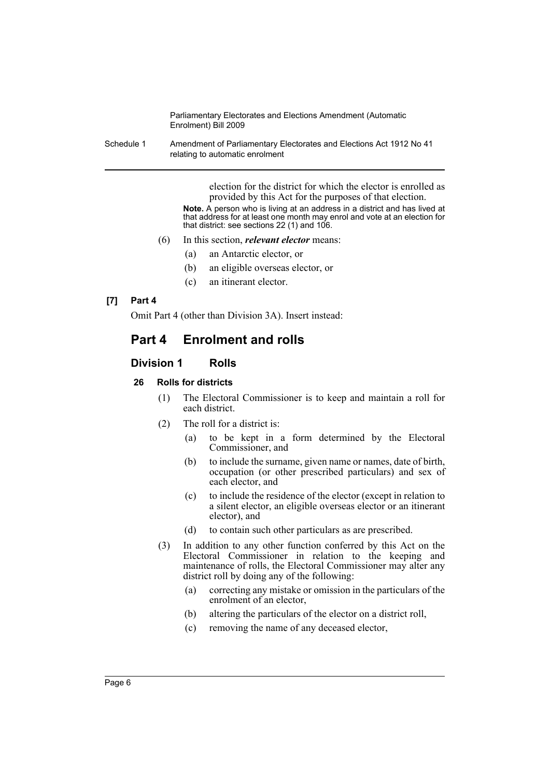Schedule 1 Amendment of Parliamentary Electorates and Elections Act 1912 No 41 relating to automatic enrolment

> election for the district for which the elector is enrolled as provided by this Act for the purposes of that election. **Note.** A person who is living at an address in a district and has lived at

> that address for at least one month may enrol and vote at an election for that district: see sections 22 (1) and 106.

- (6) In this section, *relevant elector* means:
	- (a) an Antarctic elector, or
	- (b) an eligible overseas elector, or
	- (c) an itinerant elector.

#### **[7] Part 4**

Omit Part 4 (other than Division 3A). Insert instead:

# **Part 4 Enrolment and rolls**

## **Division 1 Rolls**

## **26 Rolls for districts**

- (1) The Electoral Commissioner is to keep and maintain a roll for each district.
- (2) The roll for a district is:
	- (a) to be kept in a form determined by the Electoral Commissioner, and
	- (b) to include the surname, given name or names, date of birth, occupation (or other prescribed particulars) and sex of each elector, and
	- (c) to include the residence of the elector (except in relation to a silent elector, an eligible overseas elector or an itinerant elector), and
	- (d) to contain such other particulars as are prescribed.
- (3) In addition to any other function conferred by this Act on the Electoral Commissioner in relation to the keeping and maintenance of rolls, the Electoral Commissioner may alter any district roll by doing any of the following:
	- (a) correcting any mistake or omission in the particulars of the enrolment of an elector,
	- (b) altering the particulars of the elector on a district roll,
	- (c) removing the name of any deceased elector,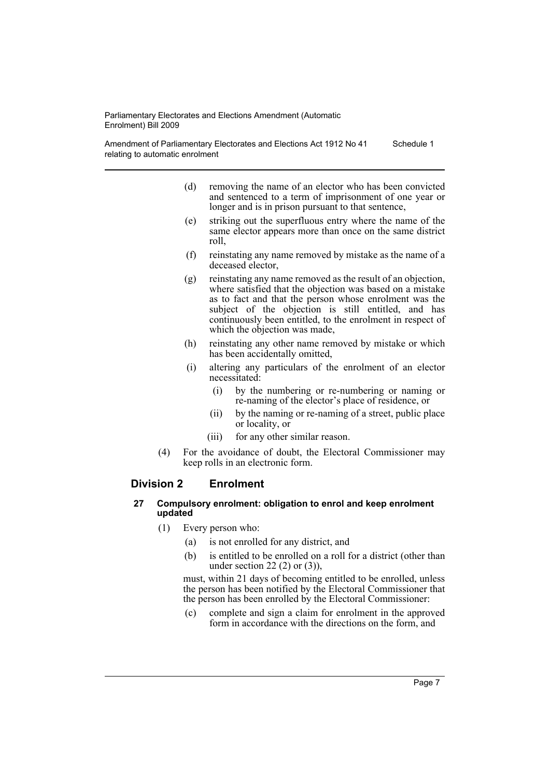Amendment of Parliamentary Electorates and Elections Act 1912 No 41 relating to automatic enrolment Schedule 1

- (d) removing the name of an elector who has been convicted and sentenced to a term of imprisonment of one year or longer and is in prison pursuant to that sentence,
- (e) striking out the superfluous entry where the name of the same elector appears more than once on the same district roll,
- (f) reinstating any name removed by mistake as the name of a deceased elector,
- (g) reinstating any name removed as the result of an objection, where satisfied that the objection was based on a mistake as to fact and that the person whose enrolment was the subject of the objection is still entitled, and has continuously been entitled, to the enrolment in respect of which the objection was made,
- (h) reinstating any other name removed by mistake or which has been accidentally omitted,
- (i) altering any particulars of the enrolment of an elector necessitated:
	- (i) by the numbering or re-numbering or naming or re-naming of the elector's place of residence, or
	- (ii) by the naming or re-naming of a street, public place or locality, or
	- (iii) for any other similar reason.
- (4) For the avoidance of doubt, the Electoral Commissioner may keep rolls in an electronic form.

## **Division 2 Enrolment**

#### **27 Compulsory enrolment: obligation to enrol and keep enrolment updated**

- (1) Every person who:
	- (a) is not enrolled for any district, and
	- (b) is entitled to be enrolled on a roll for a district (other than under section 22 $(2)$  or  $(3)$ ),

must, within 21 days of becoming entitled to be enrolled, unless the person has been notified by the Electoral Commissioner that the person has been enrolled by the Electoral Commissioner:

(c) complete and sign a claim for enrolment in the approved form in accordance with the directions on the form, and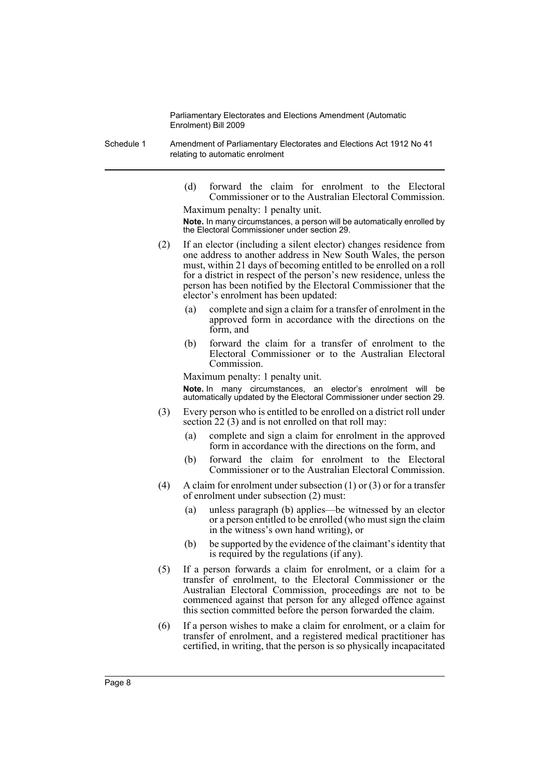- Schedule 1 Amendment of Parliamentary Electorates and Elections Act 1912 No 41 relating to automatic enrolment
	- (d) forward the claim for enrolment to the Electoral Commissioner or to the Australian Electoral Commission. Maximum penalty: 1 penalty unit.

**Note.** In many circumstances, a person will be automatically enrolled by the Electoral Commissioner under section 29.

- (2) If an elector (including a silent elector) changes residence from one address to another address in New South Wales, the person must, within 21 days of becoming entitled to be enrolled on a roll for a district in respect of the person's new residence, unless the person has been notified by the Electoral Commissioner that the elector's enrolment has been updated:
	- (a) complete and sign a claim for a transfer of enrolment in the approved form in accordance with the directions on the form, and
	- (b) forward the claim for a transfer of enrolment to the Electoral Commissioner or to the Australian Electoral Commission.

Maximum penalty: 1 penalty unit. **Note.** In many circumstances, an elector's enrolment will be automatically updated by the Electoral Commissioner under section 29.

- (3) Every person who is entitled to be enrolled on a district roll under section 22 (3) and is not enrolled on that roll may:
	- (a) complete and sign a claim for enrolment in the approved form in accordance with the directions on the form, and
	- (b) forward the claim for enrolment to the Electoral Commissioner or to the Australian Electoral Commission.
- (4) A claim for enrolment under subsection (1) or (3) or for a transfer of enrolment under subsection (2) must:
	- (a) unless paragraph (b) applies—be witnessed by an elector or a person entitled to be enrolled (who must sign the claim in the witness's own hand writing), or
	- (b) be supported by the evidence of the claimant's identity that is required by the regulations (if any).
- (5) If a person forwards a claim for enrolment, or a claim for a transfer of enrolment, to the Electoral Commissioner or the Australian Electoral Commission, proceedings are not to be commenced against that person for any alleged offence against this section committed before the person forwarded the claim.
- (6) If a person wishes to make a claim for enrolment, or a claim for transfer of enrolment, and a registered medical practitioner has certified, in writing, that the person is so physically incapacitated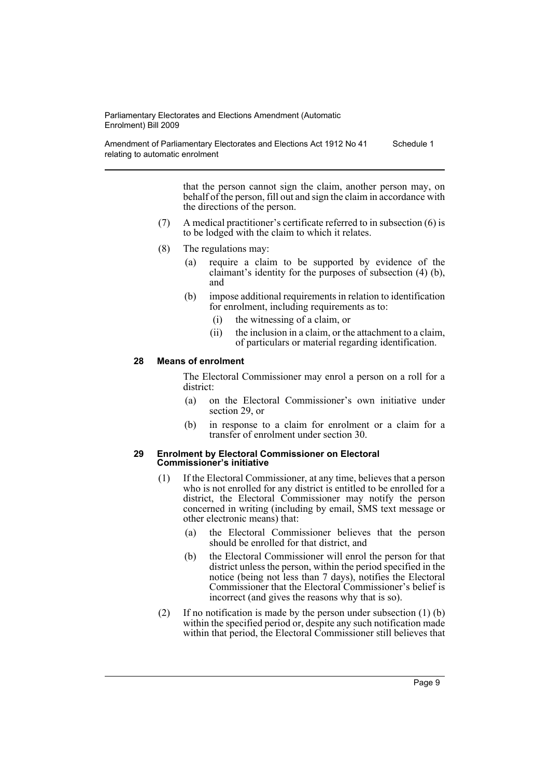Amendment of Parliamentary Electorates and Elections Act 1912 No 41 relating to automatic enrolment Schedule 1

> that the person cannot sign the claim, another person may, on behalf of the person, fill out and sign the claim in accordance with the directions of the person.

- (7) A medical practitioner's certificate referred to in subsection (6) is to be lodged with the claim to which it relates.
- (8) The regulations may:
	- (a) require a claim to be supported by evidence of the claimant's identity for the purposes of subsection (4) (b), and
	- (b) impose additional requirements in relation to identification for enrolment, including requirements as to:
		- (i) the witnessing of a claim, or
		- (ii) the inclusion in a claim, or the attachment to a claim, of particulars or material regarding identification.

#### **28 Means of enrolment**

The Electoral Commissioner may enrol a person on a roll for a district:

- (a) on the Electoral Commissioner's own initiative under section 29, or
- (b) in response to a claim for enrolment or a claim for a transfer of enrolment under section 30.

#### **29 Enrolment by Electoral Commissioner on Electoral Commissioner's initiative**

- (1) If the Electoral Commissioner, at any time, believes that a person who is not enrolled for any district is entitled to be enrolled for a district, the Electoral Commissioner may notify the person concerned in writing (including by email, SMS text message or other electronic means) that:
	- (a) the Electoral Commissioner believes that the person should be enrolled for that district, and
	- (b) the Electoral Commissioner will enrol the person for that district unless the person, within the period specified in the notice (being not less than 7 days), notifies the Electoral Commissioner that the Electoral Commissioner's belief is incorrect (and gives the reasons why that is so).
- (2) If no notification is made by the person under subsection (1) (b) within the specified period or, despite any such notification made within that period, the Electoral Commissioner still believes that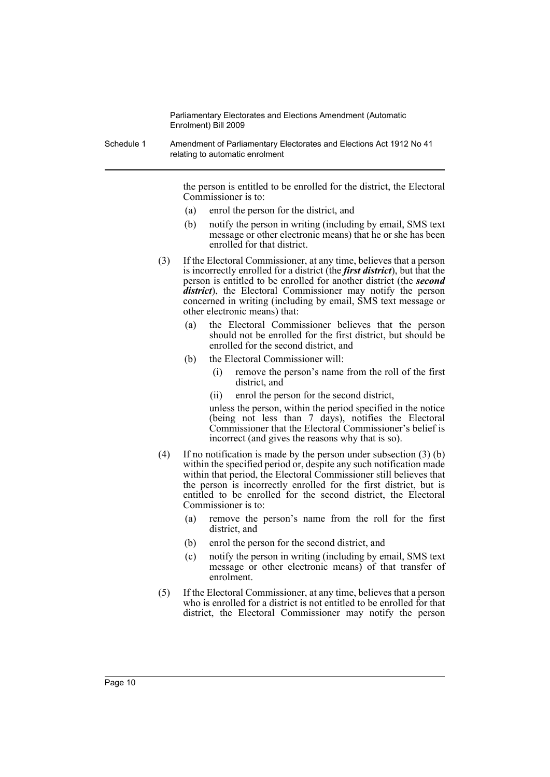Schedule 1 Amendment of Parliamentary Electorates and Elections Act 1912 No 41 relating to automatic enrolment

> the person is entitled to be enrolled for the district, the Electoral Commissioner is to:

- (a) enrol the person for the district, and
- (b) notify the person in writing (including by email, SMS text message or other electronic means) that he or she has been enrolled for that district.
- (3) If the Electoral Commissioner, at any time, believes that a person is incorrectly enrolled for a district (the *first district*), but that the person is entitled to be enrolled for another district (the *second district*), the Electoral Commissioner may notify the person concerned in writing (including by email, SMS text message or other electronic means) that:
	- (a) the Electoral Commissioner believes that the person should not be enrolled for the first district, but should be enrolled for the second district, and
	- (b) the Electoral Commissioner will:
		- (i) remove the person's name from the roll of the first district, and
		- (ii) enrol the person for the second district,

unless the person, within the period specified in the notice (being not less than 7 days), notifies the Electoral Commissioner that the Electoral Commissioner's belief is incorrect (and gives the reasons why that is so).

- (4) If no notification is made by the person under subsection (3) (b) within the specified period or, despite any such notification made within that period, the Electoral Commissioner still believes that the person is incorrectly enrolled for the first district, but is entitled to be enrolled for the second district, the Electoral Commissioner is to:
	- (a) remove the person's name from the roll for the first district, and
	- (b) enrol the person for the second district, and
	- (c) notify the person in writing (including by email, SMS text message or other electronic means) of that transfer of enrolment.
- (5) If the Electoral Commissioner, at any time, believes that a person who is enrolled for a district is not entitled to be enrolled for that district, the Electoral Commissioner may notify the person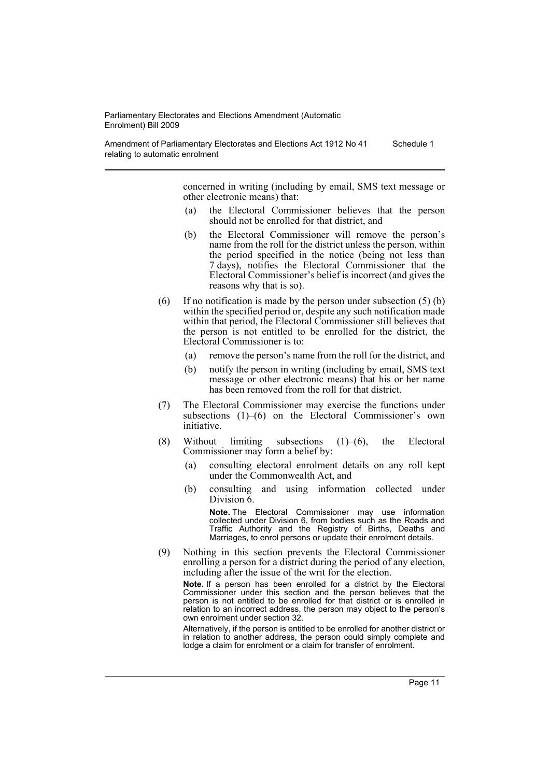Amendment of Parliamentary Electorates and Elections Act 1912 No 41 relating to automatic enrolment Schedule 1

> concerned in writing (including by email, SMS text message or other electronic means) that:

- (a) the Electoral Commissioner believes that the person should not be enrolled for that district, and
- (b) the Electoral Commissioner will remove the person's name from the roll for the district unless the person, within the period specified in the notice (being not less than 7 days), notifies the Electoral Commissioner that the Electoral Commissioner's belief is incorrect (and gives the reasons why that is so).
- (6) If no notification is made by the person under subsection  $(5)$  (b) within the specified period or, despite any such notification made within that period, the Electoral Commissioner still believes that the person is not entitled to be enrolled for the district, the Electoral Commissioner is to:
	- (a) remove the person's name from the roll for the district, and
	- (b) notify the person in writing (including by email, SMS text message or other electronic means) that his or her name has been removed from the roll for that district.
- (7) The Electoral Commissioner may exercise the functions under subsections (1)–(6) on the Electoral Commissioner's own initiative.
- (8) Without limiting subsections  $(1)$ – $(6)$ , the Electoral Commissioner may form a belief by:
	- (a) consulting electoral enrolment details on any roll kept under the Commonwealth Act, and
	- (b) consulting and using information collected under Division  $\overline{6}$ .

**Note.** The Electoral Commissioner may use information collected under Division 6, from bodies such as the Roads and Traffic Authority and the Registry of Births, Deaths and Marriages, to enrol persons or update their enrolment details.

(9) Nothing in this section prevents the Electoral Commissioner enrolling a person for a district during the period of any election, including after the issue of the writ for the election.

**Note.** If a person has been enrolled for a district by the Electoral Commissioner under this section and the person believes that the person is not entitled to be enrolled for that district or is enrolled in relation to an incorrect address, the person may object to the person's own enrolment under section 32.

Alternatively, if the person is entitled to be enrolled for another district or in relation to another address, the person could simply complete and lodge a claim for enrolment or a claim for transfer of enrolment.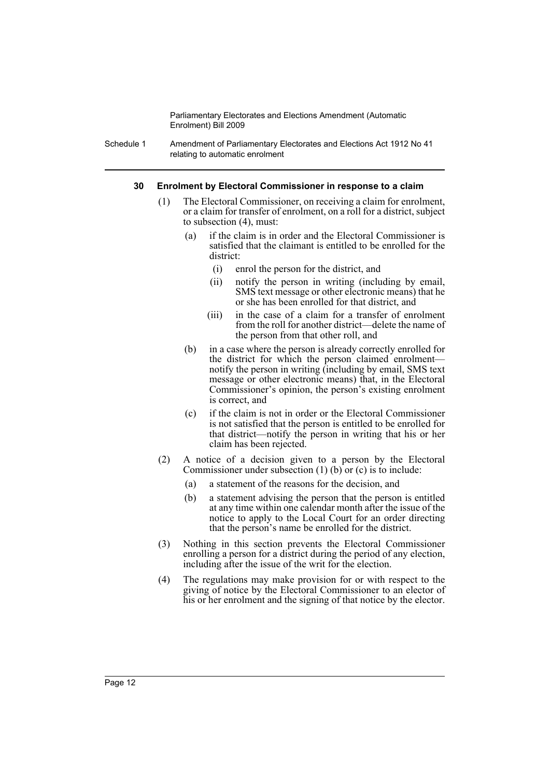Schedule 1 Amendment of Parliamentary Electorates and Elections Act 1912 No 41 relating to automatic enrolment

#### **30 Enrolment by Electoral Commissioner in response to a claim**

- (1) The Electoral Commissioner, on receiving a claim for enrolment, or a claim for transfer of enrolment, on a roll for a district, subject to subsection (4), must:
	- (a) if the claim is in order and the Electoral Commissioner is satisfied that the claimant is entitled to be enrolled for the district:
		- (i) enrol the person for the district, and
		- (ii) notify the person in writing (including by email, SMS text message or other electronic means) that he or she has been enrolled for that district, and
		- (iii) in the case of a claim for a transfer of enrolment from the roll for another district—delete the name of the person from that other roll, and
	- (b) in a case where the person is already correctly enrolled for the district for which the person claimed enrolment notify the person in writing (including by email, SMS text message or other electronic means) that, in the Electoral Commissioner's opinion, the person's existing enrolment is correct, and
	- (c) if the claim is not in order or the Electoral Commissioner is not satisfied that the person is entitled to be enrolled for that district—notify the person in writing that his or her claim has been rejected.
- (2) A notice of a decision given to a person by the Electoral Commissioner under subsection (1) (b) or (c) is to include:
	- (a) a statement of the reasons for the decision, and
	- (b) a statement advising the person that the person is entitled at any time within one calendar month after the issue of the notice to apply to the Local Court for an order directing that the person's name be enrolled for the district.
- (3) Nothing in this section prevents the Electoral Commissioner enrolling a person for a district during the period of any election, including after the issue of the writ for the election.
- (4) The regulations may make provision for or with respect to the giving of notice by the Electoral Commissioner to an elector of his or her enrolment and the signing of that notice by the elector.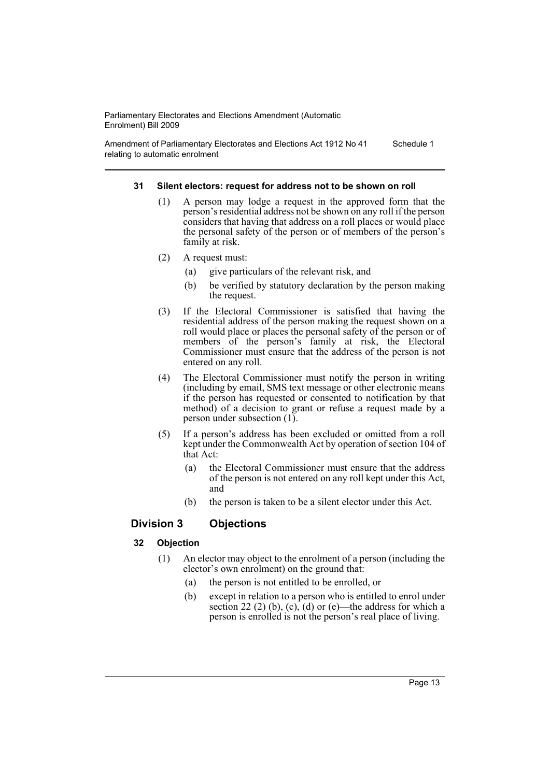Amendment of Parliamentary Electorates and Elections Act 1912 No 41 relating to automatic enrolment Schedule 1

#### **31 Silent electors: request for address not to be shown on roll**

- (1) A person may lodge a request in the approved form that the person's residential address not be shown on any roll if the person considers that having that address on a roll places or would place the personal safety of the person or of members of the person's family at risk.
- (2) A request must:
	- (a) give particulars of the relevant risk, and
	- (b) be verified by statutory declaration by the person making the request.
- (3) If the Electoral Commissioner is satisfied that having the residential address of the person making the request shown on a roll would place or places the personal safety of the person or of members of the person's family at risk, the Electoral Commissioner must ensure that the address of the person is not entered on any roll.
- (4) The Electoral Commissioner must notify the person in writing (including by email, SMS text message or other electronic means if the person has requested or consented to notification by that method) of a decision to grant or refuse a request made by a person under subsection (1).
- (5) If a person's address has been excluded or omitted from a roll kept under the Commonwealth Act by operation of section 104 of that Act:
	- (a) the Electoral Commissioner must ensure that the address of the person is not entered on any roll kept under this Act, and
	- (b) the person is taken to be a silent elector under this Act.

## **Division 3 Objections**

#### **32 Objection**

- (1) An elector may object to the enrolment of a person (including the elector's own enrolment) on the ground that:
	- (a) the person is not entitled to be enrolled, or
	- (b) except in relation to a person who is entitled to enrol under section 22 (2) (b), (c), (d) or (e)—the address for which a person is enrolled is not the person's real place of living.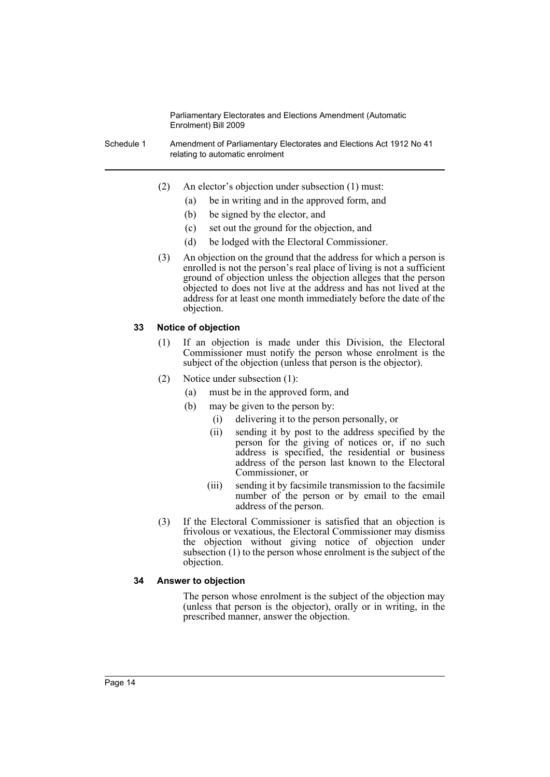Schedule 1 Amendment of Parliamentary Electorates and Elections Act 1912 No 41 relating to automatic enrolment

- (2) An elector's objection under subsection (1) must:
	- (a) be in writing and in the approved form, and
	- (b) be signed by the elector, and
	- (c) set out the ground for the objection, and
	- (d) be lodged with the Electoral Commissioner.
- (3) An objection on the ground that the address for which a person is enrolled is not the person's real place of living is not a sufficient ground of objection unless the objection alleges that the person objected to does not live at the address and has not lived at the address for at least one month immediately before the date of the objection.

#### **33 Notice of objection**

- (1) If an objection is made under this Division, the Electoral Commissioner must notify the person whose enrolment is the subject of the objection (unless that person is the objector).
- (2) Notice under subsection (1):
	- (a) must be in the approved form, and
	- (b) may be given to the person by:
		- (i) delivering it to the person personally, or
		- (ii) sending it by post to the address specified by the person for the giving of notices or, if no such address is specified, the residential or business address of the person last known to the Electoral Commissioner, or
		- (iii) sending it by facsimile transmission to the facsimile number of the person or by email to the email address of the person.
- (3) If the Electoral Commissioner is satisfied that an objection is frivolous or vexatious, the Electoral Commissioner may dismiss the objection without giving notice of objection under subsection (1) to the person whose enrolment is the subject of the objection.

#### **34 Answer to objection**

The person whose enrolment is the subject of the objection may (unless that person is the objector), orally or in writing, in the prescribed manner, answer the objection.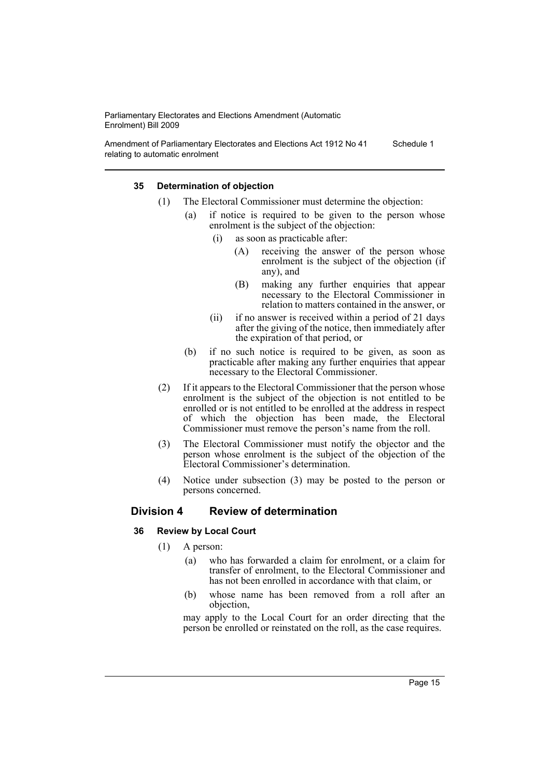Amendment of Parliamentary Electorates and Elections Act 1912 No 41 relating to automatic enrolment Schedule 1

#### **35 Determination of objection**

- (1) The Electoral Commissioner must determine the objection:
	- (a) if notice is required to be given to the person whose enrolment is the subject of the objection:
		- (i) as soon as practicable after:
			- (A) receiving the answer of the person whose enrolment is the subject of the objection (if any), and
			- (B) making any further enquiries that appear necessary to the Electoral Commissioner in relation to matters contained in the answer, or
		- (ii) if no answer is received within a period of 21 days after the giving of the notice, then immediately after the expiration of that period, or
	- (b) if no such notice is required to be given, as soon as practicable after making any further enquiries that appear necessary to the Electoral Commissioner.
- (2) If it appears to the Electoral Commissioner that the person whose enrolment is the subject of the objection is not entitled to be enrolled or is not entitled to be enrolled at the address in respect of which the objection has been made, the Electoral Commissioner must remove the person's name from the roll.
- (3) The Electoral Commissioner must notify the objector and the person whose enrolment is the subject of the objection of the Electoral Commissioner's determination.
- (4) Notice under subsection (3) may be posted to the person or persons concerned.

## **Division 4 Review of determination**

#### **36 Review by Local Court**

- (1) A person:
	- (a) who has forwarded a claim for enrolment, or a claim for transfer of enrolment, to the Electoral Commissioner and has not been enrolled in accordance with that claim, or
	- (b) whose name has been removed from a roll after an objection,

may apply to the Local Court for an order directing that the person be enrolled or reinstated on the roll, as the case requires.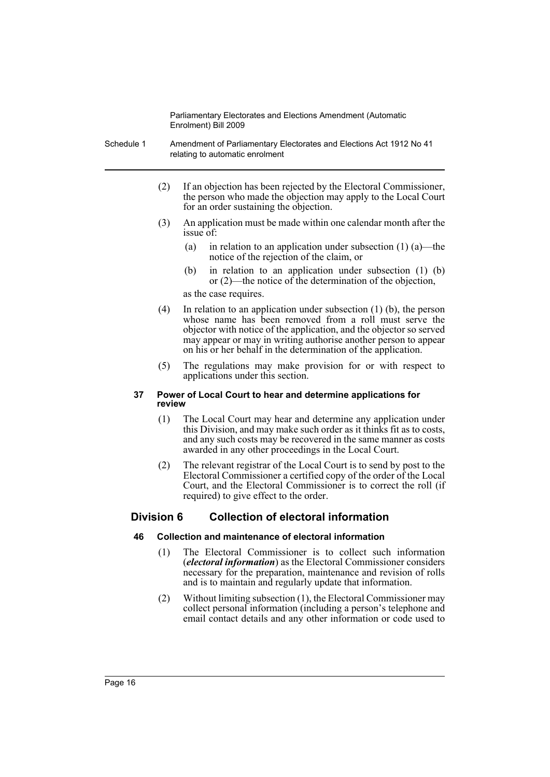- Schedule 1 Amendment of Parliamentary Electorates and Elections Act 1912 No 41 relating to automatic enrolment
	- (2) If an objection has been rejected by the Electoral Commissioner, the person who made the objection may apply to the Local Court for an order sustaining the objection.
	- (3) An application must be made within one calendar month after the issue of:
		- (a) in relation to an application under subsection (1) (a)—the notice of the rejection of the claim, or
		- (b) in relation to an application under subsection (1) (b) or (2)—the notice of the determination of the objection,

as the case requires.

- (4) In relation to an application under subsection (1) (b), the person whose name has been removed from a roll must serve the objector with notice of the application, and the objector so served may appear or may in writing authorise another person to appear on his or her behalf in the determination of the application.
- (5) The regulations may make provision for or with respect to applications under this section.

#### **37 Power of Local Court to hear and determine applications for review**

- (1) The Local Court may hear and determine any application under this Division, and may make such order as it thinks fit as to costs, and any such costs may be recovered in the same manner as costs awarded in any other proceedings in the Local Court.
- (2) The relevant registrar of the Local Court is to send by post to the Electoral Commissioner a certified copy of the order of the Local Court, and the Electoral Commissioner is to correct the roll (if required) to give effect to the order.

## **Division 6 Collection of electoral information**

#### **46 Collection and maintenance of electoral information**

- (1) The Electoral Commissioner is to collect such information (*electoral information*) as the Electoral Commissioner considers necessary for the preparation, maintenance and revision of rolls and is to maintain and regularly update that information.
- (2) Without limiting subsection (1), the Electoral Commissioner may collect personal information (including a person's telephone and email contact details and any other information or code used to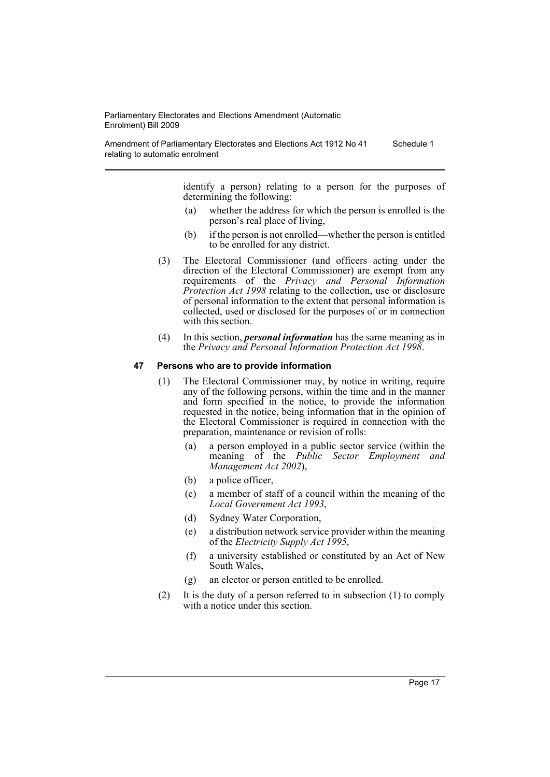Amendment of Parliamentary Electorates and Elections Act 1912 No 41 relating to automatic enrolment Schedule 1

> identify a person) relating to a person for the purposes of determining the following:

- (a) whether the address for which the person is enrolled is the person's real place of living,
- (b) if the person is not enrolled—whether the person is entitled to be enrolled for any district.
- (3) The Electoral Commissioner (and officers acting under the direction of the Electoral Commissioner) are exempt from any requirements of the *Privacy and Personal Information Protection Act 1998* relating to the collection, use or disclosure of personal information to the extent that personal information is collected, used or disclosed for the purposes of or in connection with this section.
- (4) In this section, *personal information* has the same meaning as in the *Privacy and Personal Information Protection Act 1998*.

#### **47 Persons who are to provide information**

- (1) The Electoral Commissioner may, by notice in writing, require any of the following persons, within the time and in the manner and form specified in the notice, to provide the information requested in the notice, being information that in the opinion of the Electoral Commissioner is required in connection with the preparation, maintenance or revision of rolls:
	- (a) a person employed in a public sector service (within the meaning of the *Public Sector Employment and Management Act 2002*),
	- (b) a police officer,
	- (c) a member of staff of a council within the meaning of the *Local Government Act 1993*,
	- (d) Sydney Water Corporation,
	- (e) a distribution network service provider within the meaning of the *Electricity Supply Act 1995*,
	- (f) a university established or constituted by an Act of New South Wales,
	- (g) an elector or person entitled to be enrolled.
- (2) It is the duty of a person referred to in subsection (1) to comply with a notice under this section.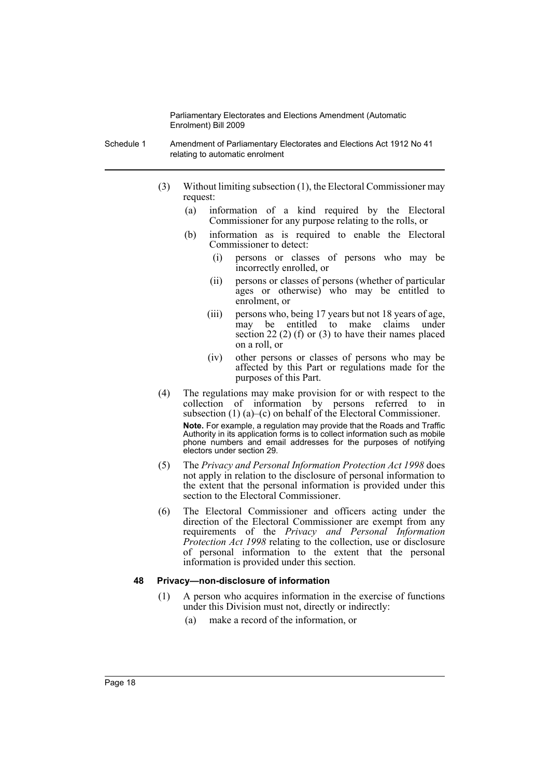- Schedule 1 Amendment of Parliamentary Electorates and Elections Act 1912 No 41 relating to automatic enrolment
	- (3) Without limiting subsection (1), the Electoral Commissioner may request:
		- (a) information of a kind required by the Electoral Commissioner for any purpose relating to the rolls, or
		- (b) information as is required to enable the Electoral Commissioner to detect:
			- (i) persons or classes of persons who may be incorrectly enrolled, or
			- (ii) persons or classes of persons (whether of particular ages or otherwise) who may be entitled to enrolment, or
			- (iii) persons who, being 17 years but not 18 years of age, may be entitled to make claims under section 22 (2) (f) or (3) to have their names placed on a roll, or
			- (iv) other persons or classes of persons who may be affected by this Part or regulations made for the purposes of this Part.
	- (4) The regulations may make provision for or with respect to the collection of information by persons referred to in subsection (1) (a)–(c) on behalf of the Electoral Commissioner. **Note.** For example, a regulation may provide that the Roads and Traffic Authority in its application forms is to collect information such as mobile phone numbers and email addresses for the purposes of notifying electors under section 29.
	- (5) The *Privacy and Personal Information Protection Act 1998* does not apply in relation to the disclosure of personal information to the extent that the personal information is provided under this section to the Electoral Commissioner.
	- (6) The Electoral Commissioner and officers acting under the direction of the Electoral Commissioner are exempt from any requirements of the *Privacy and Personal Information Protection Act 1998* relating to the collection, use or disclosure of personal information to the extent that the personal information is provided under this section.

#### **48 Privacy—non-disclosure of information**

- (1) A person who acquires information in the exercise of functions under this Division must not, directly or indirectly:
	- (a) make a record of the information, or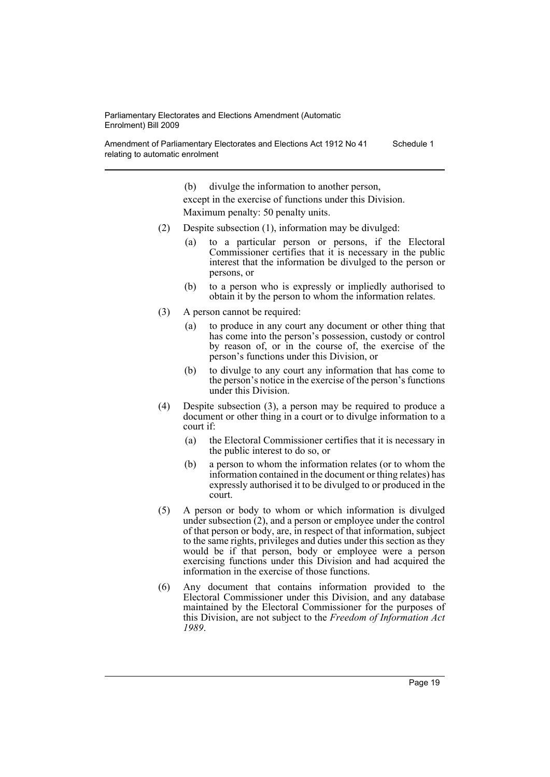Amendment of Parliamentary Electorates and Elections Act 1912 No 41 relating to automatic enrolment Schedule 1

(b) divulge the information to another person,

except in the exercise of functions under this Division. Maximum penalty: 50 penalty units.

- (2) Despite subsection (1), information may be divulged:
	- (a) to a particular person or persons, if the Electoral Commissioner certifies that it is necessary in the public interest that the information be divulged to the person or persons, or
	- (b) to a person who is expressly or impliedly authorised to obtain it by the person to whom the information relates.
- (3) A person cannot be required:
	- (a) to produce in any court any document or other thing that has come into the person's possession, custody or control by reason of, or in the course of, the exercise of the person's functions under this Division, or
	- (b) to divulge to any court any information that has come to the person's notice in the exercise of the person's functions under this Division.
- (4) Despite subsection (3), a person may be required to produce a document or other thing in a court or to divulge information to a court if:
	- (a) the Electoral Commissioner certifies that it is necessary in the public interest to do so, or
	- (b) a person to whom the information relates (or to whom the information contained in the document or thing relates) has expressly authorised it to be divulged to or produced in the court.
- (5) A person or body to whom or which information is divulged under subsection (2), and a person or employee under the control of that person or body, are, in respect of that information, subject to the same rights, privileges and duties under this section as they would be if that person, body or employee were a person exercising functions under this Division and had acquired the information in the exercise of those functions.
- (6) Any document that contains information provided to the Electoral Commissioner under this Division, and any database maintained by the Electoral Commissioner for the purposes of this Division, are not subject to the *Freedom of Information Act 1989*.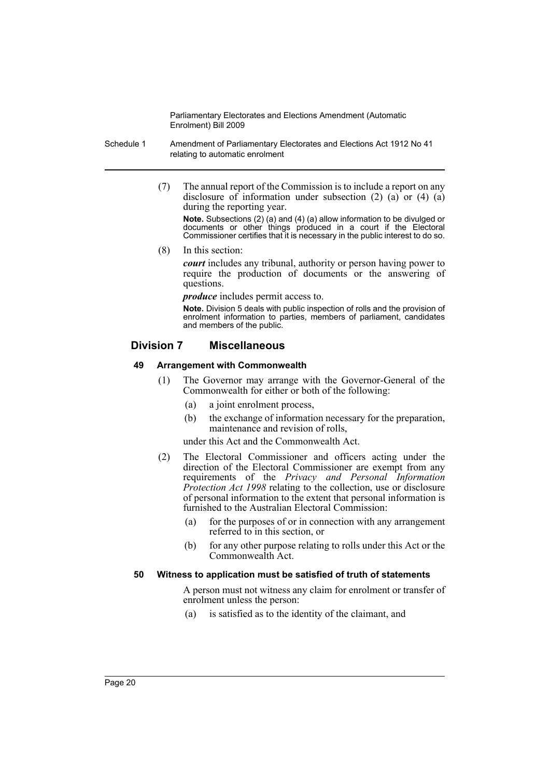- Schedule 1 Amendment of Parliamentary Electorates and Elections Act 1912 No 41 relating to automatic enrolment
	- (7) The annual report of the Commission is to include a report on any disclosure of information under subsection (2) (a) or (4) (a) during the reporting year.

**Note.** Subsections (2) (a) and (4) (a) allow information to be divulged or documents or other things produced in a court if the Electoral Commissioner certifies that it is necessary in the public interest to do so.

(8) In this section:

*court* includes any tribunal, authority or person having power to require the production of documents or the answering of questions.

*produce* includes permit access to.

**Note.** Division 5 deals with public inspection of rolls and the provision of enrolment information to parties, members of parliament, candidates and members of the public.

## **Division 7 Miscellaneous**

#### **49 Arrangement with Commonwealth**

- (1) The Governor may arrange with the Governor-General of the Commonwealth for either or both of the following:
	- (a) a joint enrolment process,
	- (b) the exchange of information necessary for the preparation, maintenance and revision of rolls,

under this Act and the Commonwealth Act.

- (2) The Electoral Commissioner and officers acting under the direction of the Electoral Commissioner are exempt from any requirements of the *Privacy and Personal Information Protection Act 1998* relating to the collection, use or disclosure of personal information to the extent that personal information is furnished to the Australian Electoral Commission:
	- (a) for the purposes of or in connection with any arrangement referred to in this section, or
	- (b) for any other purpose relating to rolls under this Act or the Commonwealth Act.

#### **50 Witness to application must be satisfied of truth of statements**

A person must not witness any claim for enrolment or transfer of enrolment unless the person:

(a) is satisfied as to the identity of the claimant, and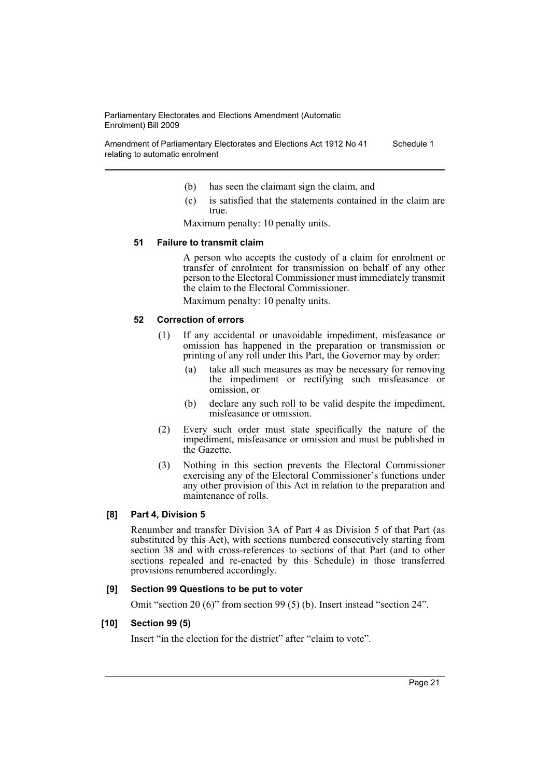Amendment of Parliamentary Electorates and Elections Act 1912 No 41 relating to automatic enrolment Schedule 1

- (b) has seen the claimant sign the claim, and
- (c) is satisfied that the statements contained in the claim are true.

Maximum penalty: 10 penalty units.

#### **51 Failure to transmit claim**

A person who accepts the custody of a claim for enrolment or transfer of enrolment for transmission on behalf of any other person to the Electoral Commissioner must immediately transmit the claim to the Electoral Commissioner.

Maximum penalty: 10 penalty units.

#### **52 Correction of errors**

- (1) If any accidental or unavoidable impediment, misfeasance or omission has happened in the preparation or transmission or printing of any roll under this Part, the Governor may by order:
	- (a) take all such measures as may be necessary for removing the impediment or rectifying such misfeasance or omission, or
	- (b) declare any such roll to be valid despite the impediment, misfeasance or omission.
- (2) Every such order must state specifically the nature of the impediment, misfeasance or omission and must be published in the Gazette.
- (3) Nothing in this section prevents the Electoral Commissioner exercising any of the Electoral Commissioner's functions under any other provision of this Act in relation to the preparation and maintenance of rolls.

#### **[8] Part 4, Division 5**

Renumber and transfer Division 3A of Part 4 as Division 5 of that Part (as substituted by this Act), with sections numbered consecutively starting from section 38 and with cross-references to sections of that Part (and to other sections repealed and re-enacted by this Schedule) in those transferred provisions renumbered accordingly.

#### **[9] Section 99 Questions to be put to voter**

Omit "section 20 (6)" from section 99 (5) (b). Insert instead "section 24".

#### **[10] Section 99 (5)**

Insert "in the election for the district" after "claim to vote".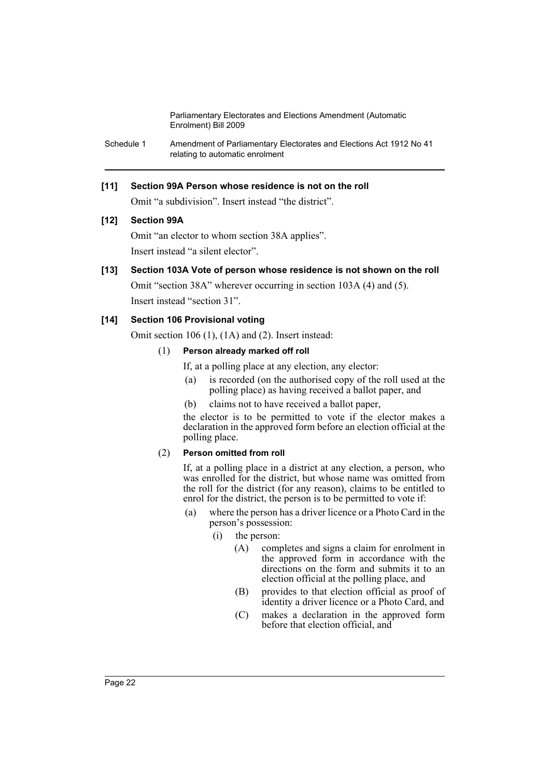Schedule 1 Amendment of Parliamentary Electorates and Elections Act 1912 No 41 relating to automatic enrolment

### **[11] Section 99A Person whose residence is not on the roll**

Omit "a subdivision". Insert instead "the district".

#### **[12] Section 99A**

Omit "an elector to whom section 38A applies". Insert instead "a silent elector".

# **[13] Section 103A Vote of person whose residence is not shown on the roll**

Omit "section 38A" wherever occurring in section 103A (4) and (5). Insert instead "section 31".

## **[14] Section 106 Provisional voting**

Omit section 106 (1), (1A) and (2). Insert instead:

#### (1) **Person already marked off roll**

If, at a polling place at any election, any elector:

- (a) is recorded (on the authorised copy of the roll used at the polling place) as having received a ballot paper, and
- (b) claims not to have received a ballot paper,

the elector is to be permitted to vote if the elector makes a declaration in the approved form before an election official at the polling place.

#### (2) **Person omitted from roll**

If, at a polling place in a district at any election, a person, who was enrolled for the district, but whose name was omitted from the roll for the district (for any reason), claims to be entitled to enrol for the district, the person is to be permitted to vote if:

- (a) where the person has a driver licence or a Photo Card in the person's possession:
	- (i) the person:
		- (A) completes and signs a claim for enrolment in the approved form in accordance with the directions on the form and submits it to an election official at the polling place, and
		- (B) provides to that election official as proof of identity a driver licence or a Photo Card, and
		- (C) makes a declaration in the approved form before that election official, and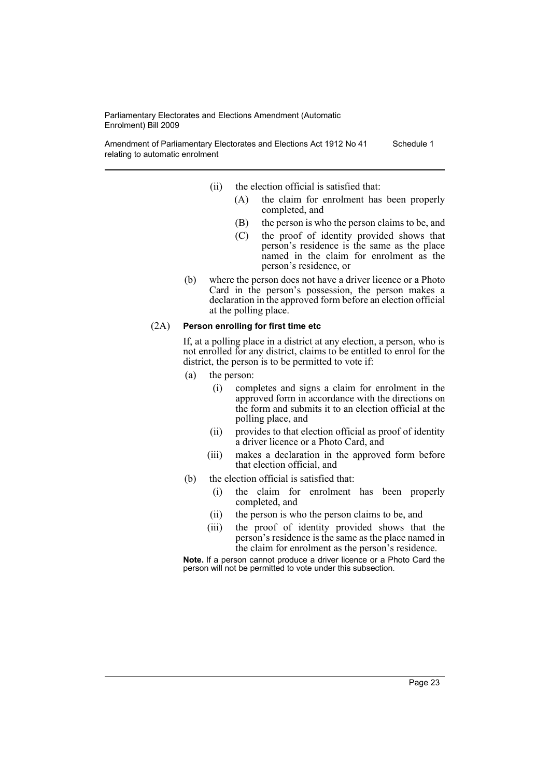Amendment of Parliamentary Electorates and Elections Act 1912 No 41 relating to automatic enrolment Schedule 1

- (ii) the election official is satisfied that:
	- (A) the claim for enrolment has been properly completed, and
	- (B) the person is who the person claims to be, and
	- (C) the proof of identity provided shows that person's residence is the same as the place named in the claim for enrolment as the person's residence, or
- (b) where the person does not have a driver licence or a Photo Card in the person's possession, the person makes a declaration in the approved form before an election official at the polling place.

#### (2A) **Person enrolling for first time etc**

If, at a polling place in a district at any election, a person, who is not enrolled for any district, claims to be entitled to enrol for the district, the person is to be permitted to vote if:

- (a) the person:
	- (i) completes and signs a claim for enrolment in the approved form in accordance with the directions on the form and submits it to an election official at the polling place, and
	- (ii) provides to that election official as proof of identity a driver licence or a Photo Card, and
	- (iii) makes a declaration in the approved form before that election official, and
- (b) the election official is satisfied that:
	- (i) the claim for enrolment has been properly completed, and
	- (ii) the person is who the person claims to be, and
	- (iii) the proof of identity provided shows that the person's residence is the same as the place named in the claim for enrolment as the person's residence.

**Note.** If a person cannot produce a driver licence or a Photo Card the person will not be permitted to vote under this subsection.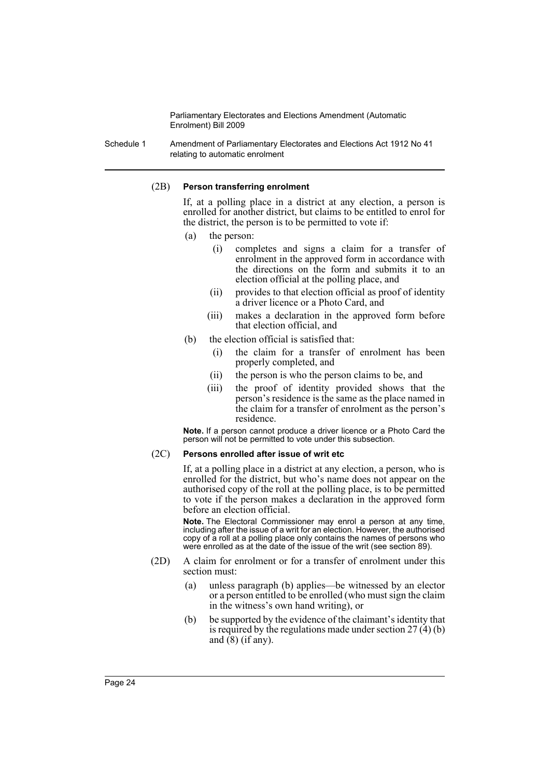Schedule 1 Amendment of Parliamentary Electorates and Elections Act 1912 No 41 relating to automatic enrolment

#### (2B) **Person transferring enrolment**

If, at a polling place in a district at any election, a person is enrolled for another district, but claims to be entitled to enrol for the district, the person is to be permitted to vote if:

- (a) the person:
	- (i) completes and signs a claim for a transfer of enrolment in the approved form in accordance with the directions on the form and submits it to an election official at the polling place, and
	- (ii) provides to that election official as proof of identity a driver licence or a Photo Card, and
	- (iii) makes a declaration in the approved form before that election official, and
- (b) the election official is satisfied that:
	- (i) the claim for a transfer of enrolment has been properly completed, and
	- (ii) the person is who the person claims to be, and
	- (iii) the proof of identity provided shows that the person's residence is the same as the place named in the claim for a transfer of enrolment as the person's residence.

**Note.** If a person cannot produce a driver licence or a Photo Card the person will not be permitted to vote under this subsection.

#### (2C) **Persons enrolled after issue of writ etc**

If, at a polling place in a district at any election, a person, who is enrolled for the district, but who's name does not appear on the authorised copy of the roll at the polling place, is to be permitted to vote if the person makes a declaration in the approved form before an election official.

**Note.** The Electoral Commissioner may enrol a person at any time, including after the issue of a writ for an election. However, the authorised copy of a roll at a polling place only contains the names of persons who were enrolled as at the date of the issue of the writ (see section 89).

- (2D) A claim for enrolment or for a transfer of enrolment under this section must:
	- (a) unless paragraph (b) applies—be witnessed by an elector or a person entitled to be enrolled (who must sign the claim in the witness's own hand writing), or
	- (b) be supported by the evidence of the claimant's identity that is required by the regulations made under section  $27(4)(b)$ and  $(8)$  (if any).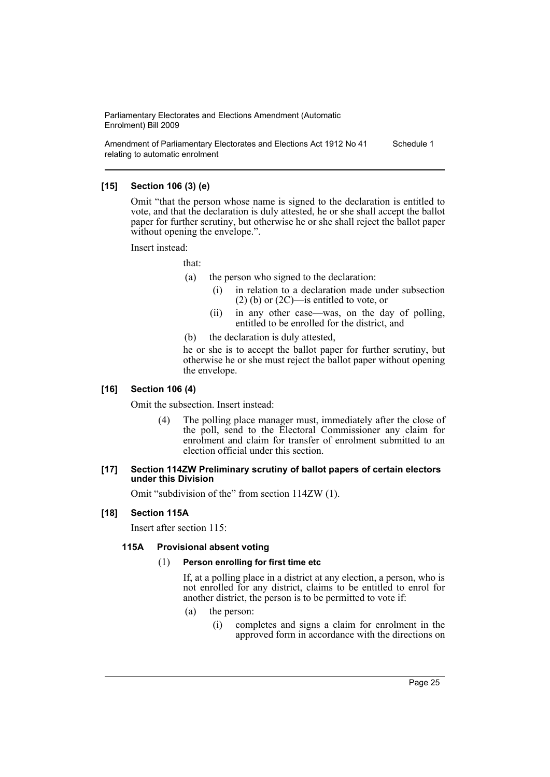Amendment of Parliamentary Electorates and Elections Act 1912 No 41 relating to automatic enrolment Schedule 1

#### **[15] Section 106 (3) (e)**

Omit "that the person whose name is signed to the declaration is entitled to vote, and that the declaration is duly attested, he or she shall accept the ballot paper for further scrutiny, but otherwise he or she shall reject the ballot paper without opening the envelope.".

Insert instead:

that:

- (a) the person who signed to the declaration:
	- (i) in relation to a declaration made under subsection  $(2)$  (b) or  $(2C)$ —is entitled to vote, or
	- (ii) in any other case—was, on the day of polling, entitled to be enrolled for the district, and
- (b) the declaration is duly attested,

he or she is to accept the ballot paper for further scrutiny, but otherwise he or she must reject the ballot paper without opening the envelope.

#### **[16] Section 106 (4)**

Omit the subsection. Insert instead:

(4) The polling place manager must, immediately after the close of the poll, send to the Electoral Commissioner any claim for enrolment and claim for transfer of enrolment submitted to an election official under this section.

#### **[17] Section 114ZW Preliminary scrutiny of ballot papers of certain electors under this Division**

Omit "subdivision of the" from section 114ZW (1).

#### **[18] Section 115A**

Insert after section 115:

#### **115A Provisional absent voting**

#### (1) **Person enrolling for first time etc**

If, at a polling place in a district at any election, a person, who is not enrolled for any district, claims to be entitled to enrol for another district, the person is to be permitted to vote if:

- (a) the person:
	- (i) completes and signs a claim for enrolment in the approved form in accordance with the directions on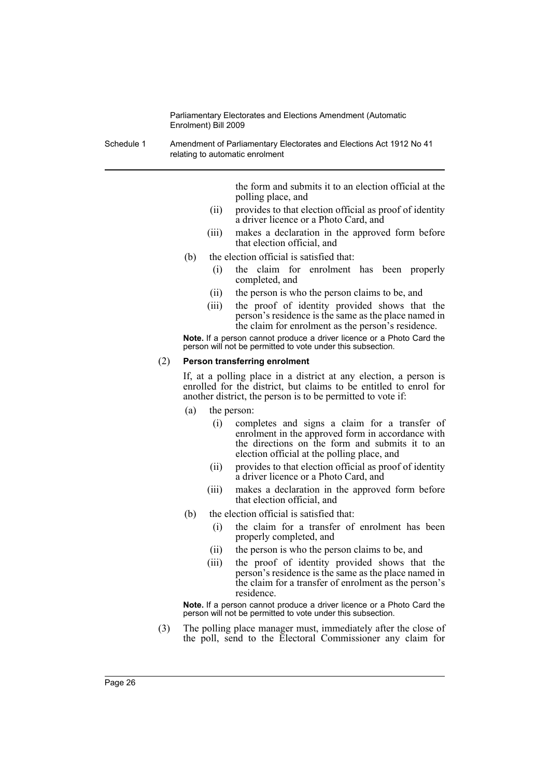Schedule 1 Amendment of Parliamentary Electorates and Elections Act 1912 No 41 relating to automatic enrolment

> the form and submits it to an election official at the polling place, and

- (ii) provides to that election official as proof of identity a driver licence or a Photo Card, and
- (iii) makes a declaration in the approved form before that election official, and
- (b) the election official is satisfied that:
	- (i) the claim for enrolment has been properly completed, and
	- (ii) the person is who the person claims to be, and
	- (iii) the proof of identity provided shows that the person's residence is the same as the place named in the claim for enrolment as the person's residence.

**Note.** If a person cannot produce a driver licence or a Photo Card the person will not be permitted to vote under this subsection.

#### (2) **Person transferring enrolment**

If, at a polling place in a district at any election, a person is enrolled for the district, but claims to be entitled to enrol for another district, the person is to be permitted to vote if:

- (a) the person:
	- (i) completes and signs a claim for a transfer of enrolment in the approved form in accordance with the directions on the form and submits it to an election official at the polling place, and
	- (ii) provides to that election official as proof of identity a driver licence or a Photo Card, and
	- (iii) makes a declaration in the approved form before that election official, and
- (b) the election official is satisfied that:
	- (i) the claim for a transfer of enrolment has been properly completed, and
	- (ii) the person is who the person claims to be, and
	- (iii) the proof of identity provided shows that the person's residence is the same as the place named in the claim for a transfer of enrolment as the person's residence.

**Note.** If a person cannot produce a driver licence or a Photo Card the person will not be permitted to vote under this subsection.

(3) The polling place manager must, immediately after the close of the poll, send to the Electoral Commissioner any claim for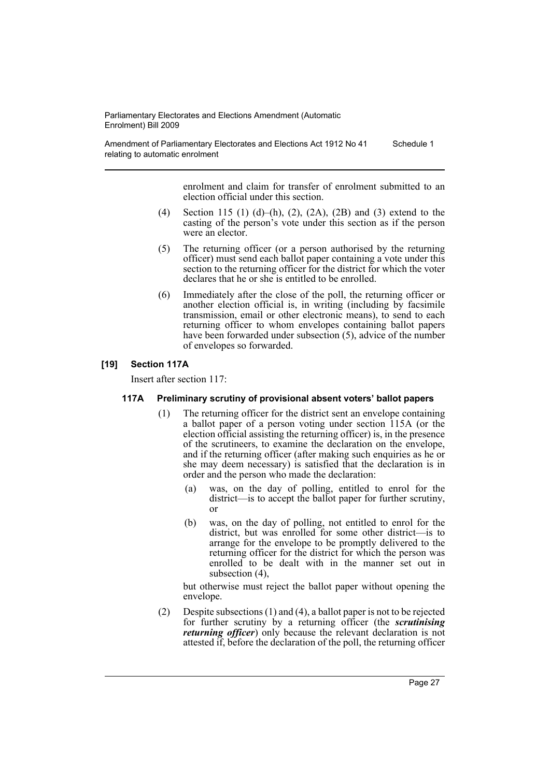Amendment of Parliamentary Electorates and Elections Act 1912 No 41 relating to automatic enrolment Schedule 1

> enrolment and claim for transfer of enrolment submitted to an election official under this section.

- (4) Section 115 (1) (d)–(h), (2), (2A), (2B) and (3) extend to the casting of the person's vote under this section as if the person were an elector.
- (5) The returning officer (or a person authorised by the returning officer) must send each ballot paper containing a vote under this section to the returning officer for the district for which the voter declares that he or she is entitled to be enrolled.
- (6) Immediately after the close of the poll, the returning officer or another election official is, in writing (including by facsimile transmission, email or other electronic means), to send to each returning officer to whom envelopes containing ballot papers have been forwarded under subsection (5), advice of the number of envelopes so forwarded.

#### **[19] Section 117A**

Insert after section 117:

#### **117A Preliminary scrutiny of provisional absent voters' ballot papers**

- (1) The returning officer for the district sent an envelope containing a ballot paper of a person voting under section 115A (or the election official assisting the returning officer) is, in the presence of the scrutineers, to examine the declaration on the envelope, and if the returning officer (after making such enquiries as he or she may deem necessary) is satisfied that the declaration is in order and the person who made the declaration:
	- (a) was, on the day of polling, entitled to enrol for the district—is to accept the ballot paper for further scrutiny, or
	- (b) was, on the day of polling, not entitled to enrol for the district, but was enrolled for some other district—is to arrange for the envelope to be promptly delivered to the returning officer for the district for which the person was enrolled to be dealt with in the manner set out in subsection (4),

but otherwise must reject the ballot paper without opening the envelope.

(2) Despite subsections (1) and (4), a ballot paper is not to be rejected for further scrutiny by a returning officer (the *scrutinising returning officer*) only because the relevant declaration is not attested if, before the declaration of the poll, the returning officer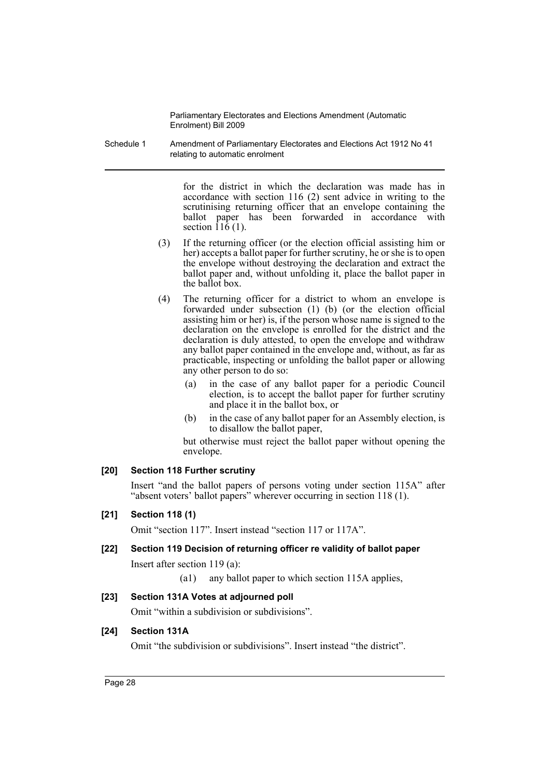Schedule 1 Amendment of Parliamentary Electorates and Elections Act 1912 No 41 relating to automatic enrolment

> for the district in which the declaration was made has in accordance with section 116 (2) sent advice in writing to the scrutinising returning officer that an envelope containing the ballot paper has been forwarded in accordance with section  $11\overline{6}$  (1).

- (3) If the returning officer (or the election official assisting him or her) accepts a ballot paper for further scrutiny, he or she is to open the envelope without destroying the declaration and extract the ballot paper and, without unfolding it, place the ballot paper in the ballot box.
- (4) The returning officer for a district to whom an envelope is forwarded under subsection (1) (b) (or the election official assisting him or her) is, if the person whose name is signed to the declaration on the envelope is enrolled for the district and the declaration is duly attested, to open the envelope and withdraw any ballot paper contained in the envelope and, without, as far as practicable, inspecting or unfolding the ballot paper or allowing any other person to do so:
	- (a) in the case of any ballot paper for a periodic Council election, is to accept the ballot paper for further scrutiny and place it in the ballot box, or
	- (b) in the case of any ballot paper for an Assembly election, is to disallow the ballot paper,

but otherwise must reject the ballot paper without opening the envelope.

#### **[20] Section 118 Further scrutiny**

Insert "and the ballot papers of persons voting under section 115A" after "absent voters' ballot papers" wherever occurring in section 118 (1).

#### **[21] Section 118 (1)**

Omit "section 117". Insert instead "section 117 or 117A".

#### **[22] Section 119 Decision of returning officer re validity of ballot paper**

Insert after section 119 (a):

(a1) any ballot paper to which section 115A applies,

#### **[23] Section 131A Votes at adjourned poll**

Omit "within a subdivision or subdivisions".

#### **[24] Section 131A**

Omit "the subdivision or subdivisions". Insert instead "the district".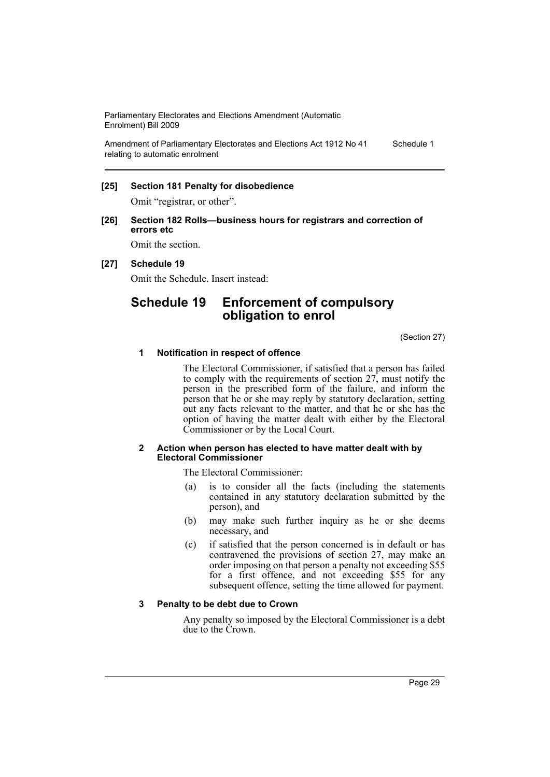Amendment of Parliamentary Electorates and Elections Act 1912 No 41 relating to automatic enrolment Schedule 1

#### **[25] Section 181 Penalty for disobedience**

Omit "registrar, or other".

#### **[26] Section 182 Rolls—business hours for registrars and correction of errors etc**

Omit the section.

#### **[27] Schedule 19**

Omit the Schedule. Insert instead:

# **Schedule 19 Enforcement of compulsory obligation to enrol**

(Section 27)

#### **1 Notification in respect of offence**

The Electoral Commissioner, if satisfied that a person has failed to comply with the requirements of section 27, must notify the person in the prescribed form of the failure, and inform the person that he or she may reply by statutory declaration, setting out any facts relevant to the matter, and that he or she has the option of having the matter dealt with either by the Electoral Commissioner or by the Local Court.

#### **2 Action when person has elected to have matter dealt with by Electoral Commissioner**

The Electoral Commissioner:

- (a) is to consider all the facts (including the statements contained in any statutory declaration submitted by the person), and
- (b) may make such further inquiry as he or she deems necessary, and
- (c) if satisfied that the person concerned is in default or has contravened the provisions of section 27, may make an order imposing on that person a penalty not exceeding \$55 for a first offence, and not exceeding \$55 for any subsequent offence, setting the time allowed for payment.

#### **3 Penalty to be debt due to Crown**

Any penalty so imposed by the Electoral Commissioner is a debt due to the Crown.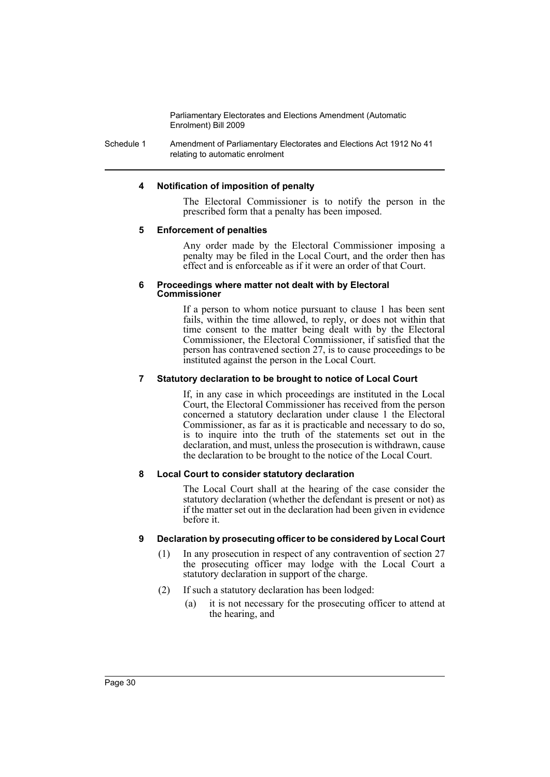Schedule 1 Amendment of Parliamentary Electorates and Elections Act 1912 No 41 relating to automatic enrolment

#### **4 Notification of imposition of penalty**

The Electoral Commissioner is to notify the person in the prescribed form that a penalty has been imposed.

#### **5 Enforcement of penalties**

Any order made by the Electoral Commissioner imposing a penalty may be filed in the Local Court, and the order then has effect and is enforceable as if it were an order of that Court.

#### **6 Proceedings where matter not dealt with by Electoral Commissioner**

If a person to whom notice pursuant to clause 1 has been sent fails, within the time allowed, to reply, or does not within that time consent to the matter being dealt with by the Electoral Commissioner, the Electoral Commissioner, if satisfied that the person has contravened section 27, is to cause proceedings to be instituted against the person in the Local Court.

#### **7 Statutory declaration to be brought to notice of Local Court**

If, in any case in which proceedings are instituted in the Local Court, the Electoral Commissioner has received from the person concerned a statutory declaration under clause 1 the Electoral Commissioner, as far as it is practicable and necessary to do so, is to inquire into the truth of the statements set out in the declaration, and must, unless the prosecution is withdrawn, cause the declaration to be brought to the notice of the Local Court.

#### **8 Local Court to consider statutory declaration**

The Local Court shall at the hearing of the case consider the statutory declaration (whether the defendant is present or not) as if the matter set out in the declaration had been given in evidence before it.

#### **9 Declaration by prosecuting officer to be considered by Local Court**

- (1) In any prosecution in respect of any contravention of section 27 the prosecuting officer may lodge with the Local Court a statutory declaration in support of the charge.
- (2) If such a statutory declaration has been lodged:
	- (a) it is not necessary for the prosecuting officer to attend at the hearing, and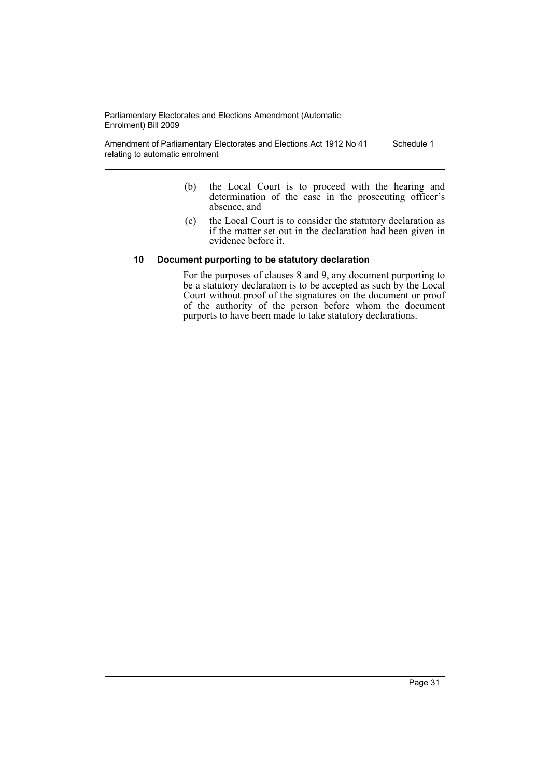Amendment of Parliamentary Electorates and Elections Act 1912 No 41 relating to automatic enrolment Schedule 1

- (b) the Local Court is to proceed with the hearing and determination of the case in the prosecuting officer's absence, and
- (c) the Local Court is to consider the statutory declaration as if the matter set out in the declaration had been given in evidence before it.

#### **10 Document purporting to be statutory declaration**

For the purposes of clauses 8 and 9, any document purporting to be a statutory declaration is to be accepted as such by the Local Court without proof of the signatures on the document or proof of the authority of the person before whom the document purports to have been made to take statutory declarations.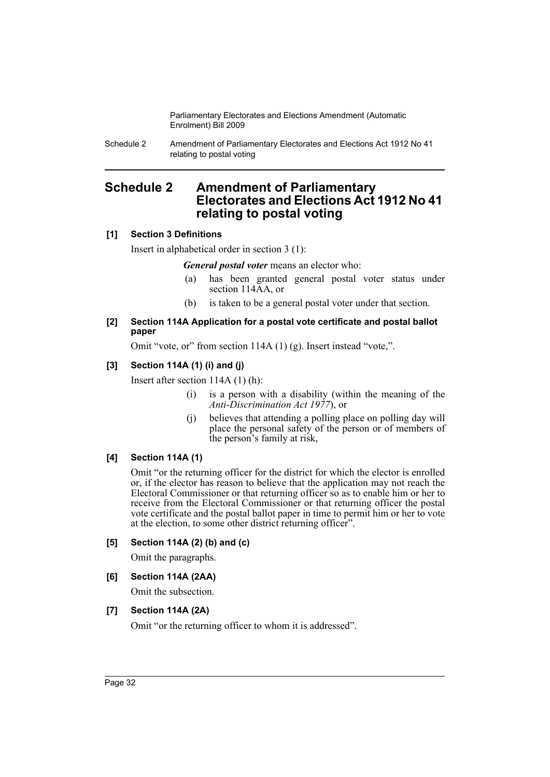Schedule 2 Amendment of Parliamentary Electorates and Elections Act 1912 No 41 relating to postal voting

# <span id="page-33-0"></span>**Schedule 2 Amendment of Parliamentary Electorates and Elections Act 1912 No 41 relating to postal voting**

## **[1] Section 3 Definitions**

Insert in alphabetical order in section 3 (1):

*General postal voter* means an elector who:

- (a) has been granted general postal voter status under section 114AA, or
- (b) is taken to be a general postal voter under that section.

#### **[2] Section 114A Application for a postal vote certificate and postal ballot paper**

Omit "vote, or" from section 114A (1) (g). Insert instead "vote,".

## **[3] Section 114A (1) (i) and (j)**

Insert after section 114A (1) (h):

- (i) is a person with a disability (within the meaning of the *Anti-Discrimination Act 1977*), or
- (j) believes that attending a polling place on polling day will place the personal safety of the person or of members of the person's family at risk,

#### **[4] Section 114A (1)**

Omit "or the returning officer for the district for which the elector is enrolled or, if the elector has reason to believe that the application may not reach the Electoral Commissioner or that returning officer so as to enable him or her to receive from the Electoral Commissioner or that returning officer the postal vote certificate and the postal ballot paper in time to permit him or her to vote at the election, to some other district returning officer".

#### **[5] Section 114A (2) (b) and (c)**

Omit the paragraphs.

#### **[6] Section 114A (2AA)**

Omit the subsection.

## **[7] Section 114A (2A)**

Omit "or the returning officer to whom it is addressed".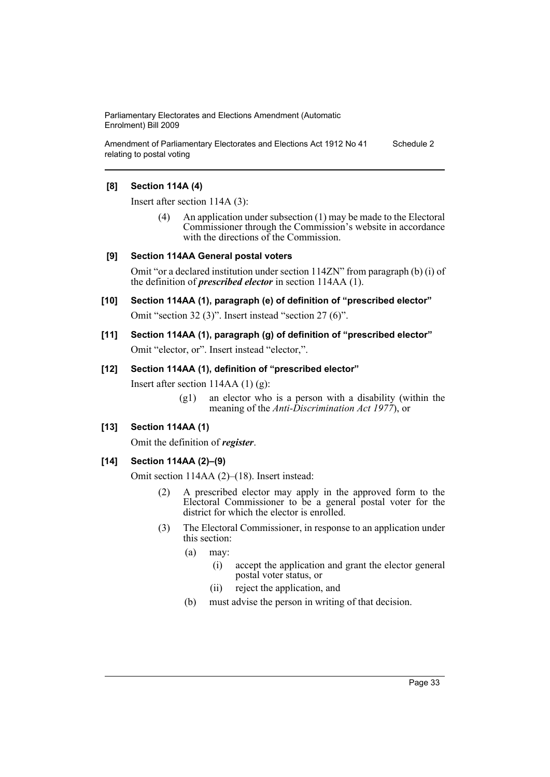Amendment of Parliamentary Electorates and Elections Act 1912 No 41 relating to postal voting Schedule 2

#### **[8] Section 114A (4)**

Insert after section 114A (3):

(4) An application under subsection (1) may be made to the Electoral Commissioner through the Commission's website in accordance with the directions of the Commission.

#### **[9] Section 114AA General postal voters**

Omit "or a declared institution under section 114ZN" from paragraph (b) (i) of the definition of *prescribed elector* in section 114AA (1).

# **[10] Section 114AA (1), paragraph (e) of definition of "prescribed elector"** Omit "section 32 (3)". Insert instead "section 27 (6)".

## **[11] Section 114AA (1), paragraph (g) of definition of "prescribed elector"** Omit "elector, or". Insert instead "elector,".

#### **[12] Section 114AA (1), definition of "prescribed elector"**

Insert after section 114AA (1) (g):

(g1) an elector who is a person with a disability (within the meaning of the *Anti-Discrimination Act 1977*), or

#### **[13] Section 114AA (1)**

Omit the definition of *register*.

#### **[14] Section 114AA (2)–(9)**

Omit section 114AA (2)–(18). Insert instead:

- (2) A prescribed elector may apply in the approved form to the Electoral Commissioner to be a general postal voter for the district for which the elector is enrolled.
- (3) The Electoral Commissioner, in response to an application under this section:
	- (a) may:
		- (i) accept the application and grant the elector general postal voter status, or
		- (ii) reject the application, and
	- (b) must advise the person in writing of that decision.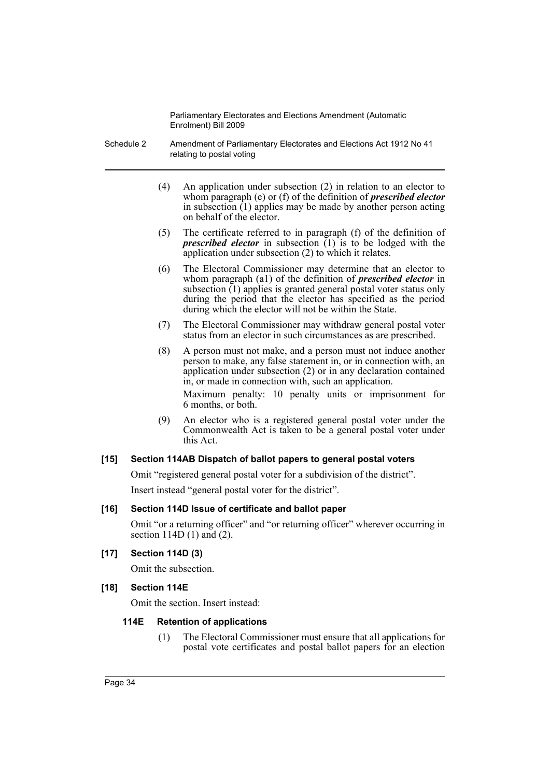- Schedule 2 Amendment of Parliamentary Electorates and Elections Act 1912 No 41 relating to postal voting
	- (4) An application under subsection (2) in relation to an elector to whom paragraph (e) or (f) of the definition of *prescribed elector* in subsection  $(1)$  applies may be made by another person acting on behalf of the elector.
	- (5) The certificate referred to in paragraph (f) of the definition of *prescribed elector* in subsection  $(1)$  is to be lodged with the application under subsection (2) to which it relates.
	- (6) The Electoral Commissioner may determine that an elector to whom paragraph (a1) of the definition of *prescribed elector* in subsection (1) applies is granted general postal voter status only during the period that the elector has specified as the period during which the elector will not be within the State.
	- (7) The Electoral Commissioner may withdraw general postal voter status from an elector in such circumstances as are prescribed.
	- (8) A person must not make, and a person must not induce another person to make, any false statement in, or in connection with, an application under subsection (2) or in any declaration contained in, or made in connection with, such an application.

Maximum penalty: 10 penalty units or imprisonment for 6 months, or both.

(9) An elector who is a registered general postal voter under the Commonwealth Act is taken to be a general postal voter under this Act.

#### **[15] Section 114AB Dispatch of ballot papers to general postal voters**

Omit "registered general postal voter for a subdivision of the district". Insert instead "general postal voter for the district".

#### **[16] Section 114D Issue of certificate and ballot paper**

Omit "or a returning officer" and "or returning officer" wherever occurring in section 114D (1) and (2).

**[17] Section 114D (3)**

Omit the subsection.

#### **[18] Section 114E**

Omit the section. Insert instead:

## **114E Retention of applications**

(1) The Electoral Commissioner must ensure that all applications for postal vote certificates and postal ballot papers for an election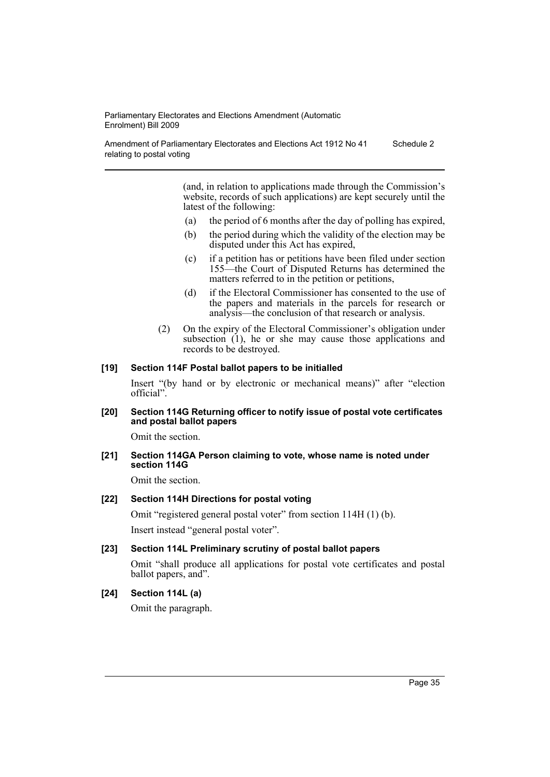Amendment of Parliamentary Electorates and Elections Act 1912 No 41 relating to postal voting Schedule 2

> (and, in relation to applications made through the Commission's website, records of such applications) are kept securely until the latest of the following:

- (a) the period of 6 months after the day of polling has expired,
- (b) the period during which the validity of the election may be disputed under this Act has expired,
- (c) if a petition has or petitions have been filed under section 155—the Court of Disputed Returns has determined the matters referred to in the petition or petitions,
- (d) if the Electoral Commissioner has consented to the use of the papers and materials in the parcels for research or analysis—the conclusion of that research or analysis.
- (2) On the expiry of the Electoral Commissioner's obligation under subsection (1), he or she may cause those applications and records to be destroyed.

#### **[19] Section 114F Postal ballot papers to be initialled**

Insert "(by hand or by electronic or mechanical means)" after "election official".

#### **[20] Section 114G Returning officer to notify issue of postal vote certificates and postal ballot papers**

Omit the section.

**[21] Section 114GA Person claiming to vote, whose name is noted under section 114G**

Omit the section.

## **[22] Section 114H Directions for postal voting**

Omit "registered general postal voter" from section 114H (1) (b). Insert instead "general postal voter".

#### **[23] Section 114L Preliminary scrutiny of postal ballot papers**

Omit "shall produce all applications for postal vote certificates and postal ballot papers, and".

# **[24] Section 114L (a)**

Omit the paragraph.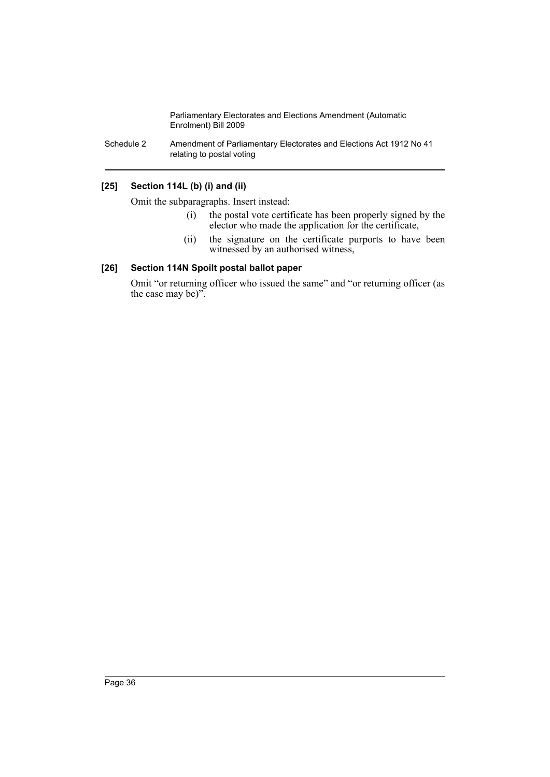Schedule 2 Amendment of Parliamentary Electorates and Elections Act 1912 No 41 relating to postal voting

## **[25] Section 114L (b) (i) and (ii)**

Omit the subparagraphs. Insert instead:

- (i) the postal vote certificate has been properly signed by the elector who made the application for the certificate,
- (ii) the signature on the certificate purports to have been witnessed by an authorised witness,

# **[26] Section 114N Spoilt postal ballot paper**

Omit "or returning officer who issued the same" and "or returning officer (as the case may be)".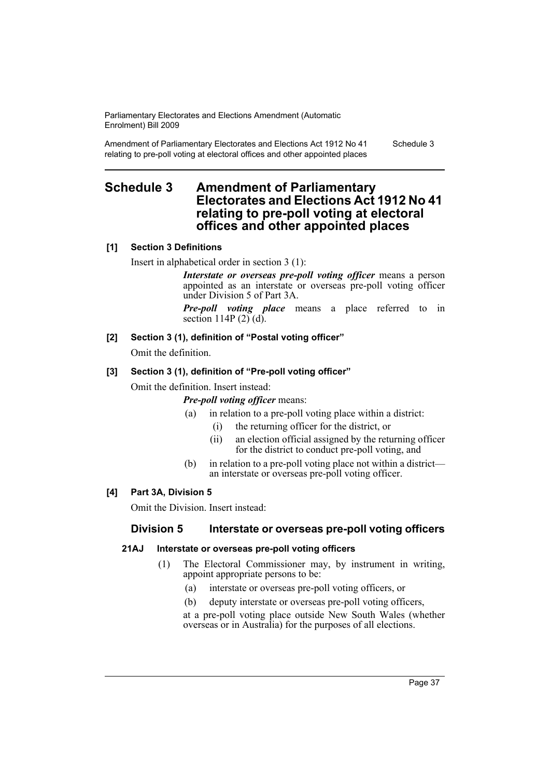Amendment of Parliamentary Electorates and Elections Act 1912 No 41 relating to pre-poll voting at electoral offices and other appointed places

Schedule 3

# **Schedule 3 Amendment of Parliamentary Electorates and Elections Act 1912 No 41 relating to pre-poll voting at electoral offices and other appointed places**

# **[1] Section 3 Definitions**

Insert in alphabetical order in section 3 (1):

*Interstate or overseas pre-poll voting officer* means a person appointed as an interstate or overseas pre-poll voting officer under Division 5 of Part 3A.

*Pre-poll voting place* means a place referred to in section 114P  $(2)$  $(d)$ .

# **[2] Section 3 (1), definition of "Postal voting officer"**

Omit the definition.

# **[3] Section 3 (1), definition of "Pre-poll voting officer"**

Omit the definition. Insert instead:

## *Pre-poll voting officer* means:

- (a) in relation to a pre-poll voting place within a district:
	- (i) the returning officer for the district, or
	- (ii) an election official assigned by the returning officer for the district to conduct pre-poll voting, and
- (b) in relation to a pre-poll voting place not within a district an interstate or overseas pre-poll voting officer.

# **[4] Part 3A, Division 5**

Omit the Division. Insert instead:

# **Division 5 Interstate or overseas pre-poll voting officers**

## **21AJ Interstate or overseas pre-poll voting officers**

- (1) The Electoral Commissioner may, by instrument in writing, appoint appropriate persons to be:
	- (a) interstate or overseas pre-poll voting officers, or
	- (b) deputy interstate or overseas pre-poll voting officers,

at a pre-poll voting place outside New South Wales (whether overseas or in Australia) for the purposes of all elections.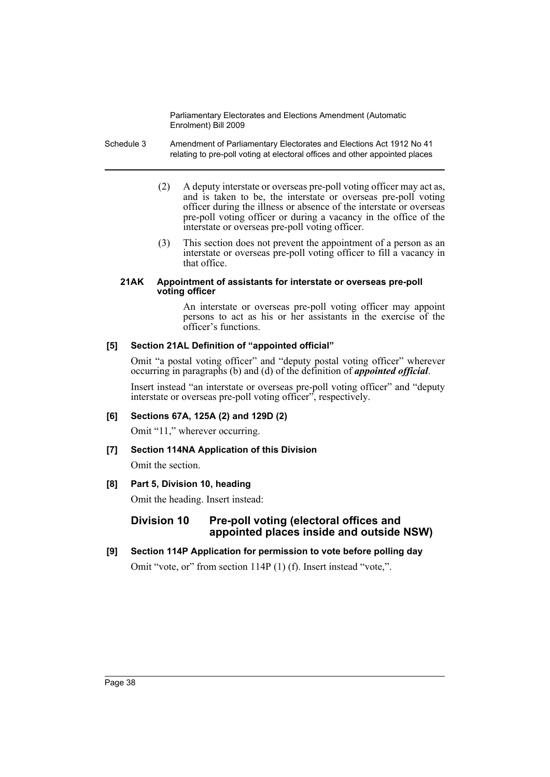- Schedule 3 Amendment of Parliamentary Electorates and Elections Act 1912 No 41 relating to pre-poll voting at electoral offices and other appointed places
	- (2) A deputy interstate or overseas pre-poll voting officer may act as, and is taken to be, the interstate or overseas pre-poll voting officer during the illness or absence of the interstate or overseas pre-poll voting officer or during a vacancy in the office of the interstate or overseas pre-poll voting officer.
	- (3) This section does not prevent the appointment of a person as an interstate or overseas pre-poll voting officer to fill a vacancy in that office.

#### **21AK Appointment of assistants for interstate or overseas pre-poll voting officer**

An interstate or overseas pre-poll voting officer may appoint persons to act as his or her assistants in the exercise of the officer's functions.

## **[5] Section 21AL Definition of "appointed official"**

Omit "a postal voting officer" and "deputy postal voting officer" wherever occurring in paragraphs (b) and (d) of the definition of *appointed official*.

Insert instead "an interstate or overseas pre-poll voting officer" and "deputy interstate or overseas pre-poll voting officer", respectively.

# **[6] Sections 67A, 125A (2) and 129D (2)**

Omit "11," wherever occurring.

# **[7] Section 114NA Application of this Division**

Omit the section.

# **[8] Part 5, Division 10, heading**

Omit the heading. Insert instead:

# **Division 10 Pre-poll voting (electoral offices and appointed places inside and outside NSW)**

**[9] Section 114P Application for permission to vote before polling day** Omit "vote, or" from section 114P (1) (f). Insert instead "vote,".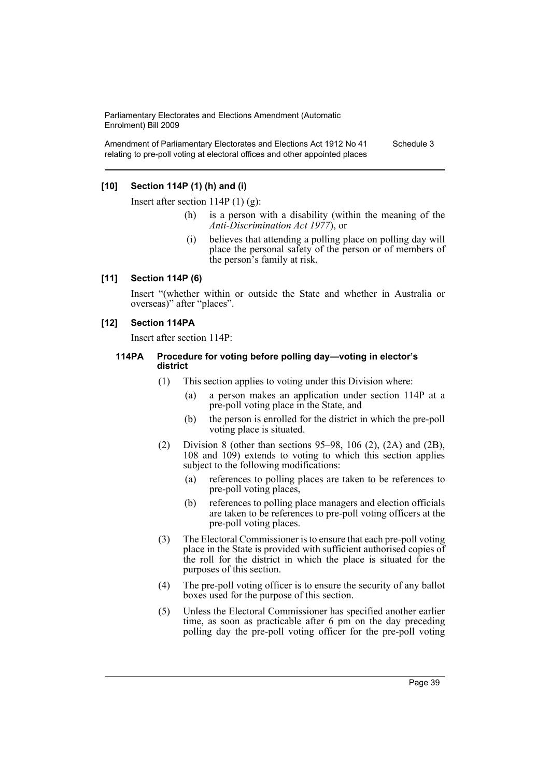Amendment of Parliamentary Electorates and Elections Act 1912 No 41 relating to pre-poll voting at electoral offices and other appointed places

Schedule 3

# **[10] Section 114P (1) (h) and (i)**

Insert after section  $114P(1)(g)$ :

- (h) is a person with a disability (within the meaning of the *Anti-Discrimination Act 1977*), or
- (i) believes that attending a polling place on polling day will place the personal safety of the person or of members of the person's family at risk,

## **[11] Section 114P (6)**

Insert "(whether within or outside the State and whether in Australia or overseas)" after "places".

#### **[12] Section 114PA**

Insert after section 114P:

#### **114PA Procedure for voting before polling day—voting in elector's district**

- (1) This section applies to voting under this Division where:
	- (a) a person makes an application under section 114P at a pre-poll voting place in the State, and
	- (b) the person is enrolled for the district in which the pre-poll voting place is situated.
- (2) Division 8 (other than sections 95–98, 106 (2), (2A) and (2B), 108 and 109) extends to voting to which this section applies subject to the following modifications:
	- (a) references to polling places are taken to be references to pre-poll voting places,
	- (b) references to polling place managers and election officials are taken to be references to pre-poll voting officers at the pre-poll voting places.
- (3) The Electoral Commissioner is to ensure that each pre-poll voting place in the State is provided with sufficient authorised copies of the roll for the district in which the place is situated for the purposes of this section.
- (4) The pre-poll voting officer is to ensure the security of any ballot boxes used for the purpose of this section.
- (5) Unless the Electoral Commissioner has specified another earlier time, as soon as practicable after 6 pm on the day preceding polling day the pre-poll voting officer for the pre-poll voting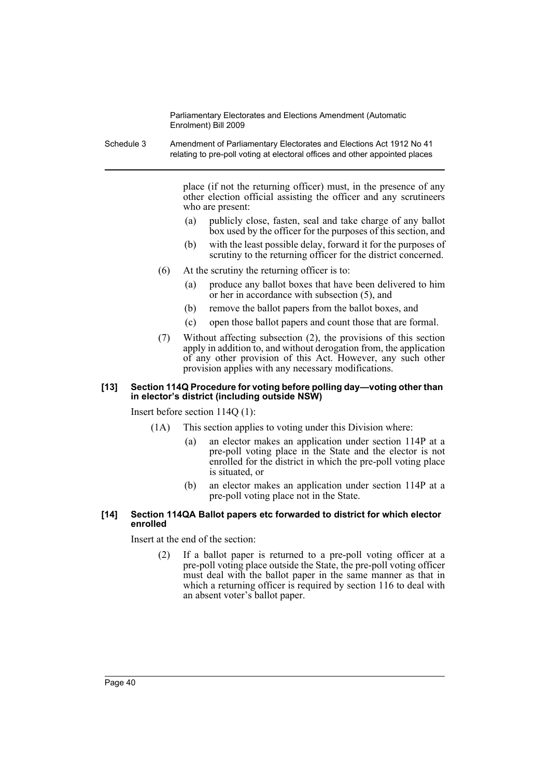Schedule 3 Amendment of Parliamentary Electorates and Elections Act 1912 No 41 relating to pre-poll voting at electoral offices and other appointed places

> place (if not the returning officer) must, in the presence of any other election official assisting the officer and any scrutineers who are present:

- (a) publicly close, fasten, seal and take charge of any ballot box used by the officer for the purposes of this section, and
- (b) with the least possible delay, forward it for the purposes of scrutiny to the returning officer for the district concerned.
- (6) At the scrutiny the returning officer is to:
	- (a) produce any ballot boxes that have been delivered to him or her in accordance with subsection (5), and
	- (b) remove the ballot papers from the ballot boxes, and
	- (c) open those ballot papers and count those that are formal.
- (7) Without affecting subsection (2), the provisions of this section apply in addition to, and without derogation from, the application of any other provision of this Act. However, any such other provision applies with any necessary modifications.

#### **[13] Section 114Q Procedure for voting before polling day—voting other than in elector's district (including outside NSW)**

Insert before section 114Q (1):

- (1A) This section applies to voting under this Division where:
	- (a) an elector makes an application under section 114P at a pre-poll voting place in the State and the elector is not enrolled for the district in which the pre-poll voting place is situated, or
	- (b) an elector makes an application under section 114P at a pre-poll voting place not in the State.

## **[14] Section 114QA Ballot papers etc forwarded to district for which elector enrolled**

Insert at the end of the section:

(2) If a ballot paper is returned to a pre-poll voting officer at a pre-poll voting place outside the State, the pre-poll voting officer must deal with the ballot paper in the same manner as that in which a returning officer is required by section 116 to deal with an absent voter's ballot paper.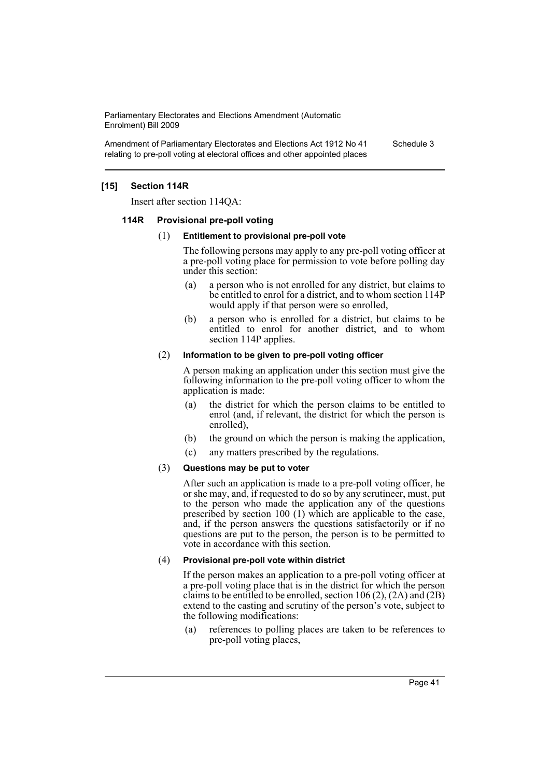Amendment of Parliamentary Electorates and Elections Act 1912 No 41 relating to pre-poll voting at electoral offices and other appointed places Schedule 3

## **[15] Section 114R**

Insert after section 114QA:

#### **114R Provisional pre-poll voting**

#### (1) **Entitlement to provisional pre-poll vote**

The following persons may apply to any pre-poll voting officer at a pre-poll voting place for permission to vote before polling day under this section:

- (a) a person who is not enrolled for any district, but claims to be entitled to enrol for a district, and to whom section 114P would apply if that person were so enrolled,
- (b) a person who is enrolled for a district, but claims to be entitled to enrol for another district, and to whom section 114P applies.

#### (2) **Information to be given to pre-poll voting officer**

A person making an application under this section must give the following information to the pre-poll voting officer to whom the application is made:

- (a) the district for which the person claims to be entitled to enrol (and, if relevant, the district for which the person is enrolled),
- (b) the ground on which the person is making the application,
- (c) any matters prescribed by the regulations.

## (3) **Questions may be put to voter**

After such an application is made to a pre-poll voting officer, he or she may, and, if requested to do so by any scrutineer, must, put to the person who made the application any of the questions prescribed by section 100 (1) which are applicable to the case, and, if the person answers the questions satisfactorily or if no questions are put to the person, the person is to be permitted to vote in accordance with this section.

#### (4) **Provisional pre-poll vote within district**

If the person makes an application to a pre-poll voting officer at a pre-poll voting place that is in the district for which the person claims to be entitled to be enrolled, section  $106 (2)$ ,  $(2A)$  and  $(2B)$ extend to the casting and scrutiny of the person's vote, subject to the following modifications:

(a) references to polling places are taken to be references to pre-poll voting places,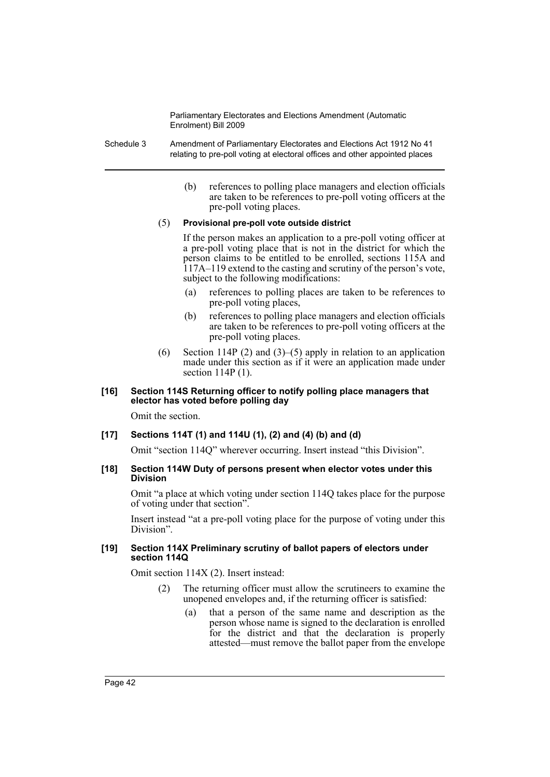Schedule 3 Amendment of Parliamentary Electorates and Elections Act 1912 No 41 relating to pre-poll voting at electoral offices and other appointed places

> (b) references to polling place managers and election officials are taken to be references to pre-poll voting officers at the pre-poll voting places.

#### (5) **Provisional pre-poll vote outside district**

If the person makes an application to a pre-poll voting officer at a pre-poll voting place that is not in the district for which the person claims to be entitled to be enrolled, sections 115A and 117A–119 extend to the casting and scrutiny of the person's vote, subject to the following modifications:

- (a) references to polling places are taken to be references to pre-poll voting places,
- (b) references to polling place managers and election officials are taken to be references to pre-poll voting officers at the pre-poll voting places.
- (6) Section 114P (2) and (3)–(5) apply in relation to an application made under this section as if it were an application made under section 114P (1).

## **[16] Section 114S Returning officer to notify polling place managers that elector has voted before polling day**

Omit the section.

## **[17] Sections 114T (1) and 114U (1), (2) and (4) (b) and (d)**

Omit "section 114Q" wherever occurring. Insert instead "this Division".

## **[18] Section 114W Duty of persons present when elector votes under this Division**

Omit "a place at which voting under section 114Q takes place for the purpose of voting under that section".

Insert instead "at a pre-poll voting place for the purpose of voting under this Division".

#### **[19] Section 114X Preliminary scrutiny of ballot papers of electors under section 114Q**

Omit section 114X (2). Insert instead:

- (2) The returning officer must allow the scrutineers to examine the unopened envelopes and, if the returning officer is satisfied:
	- (a) that a person of the same name and description as the person whose name is signed to the declaration is enrolled for the district and that the declaration is properly attested—must remove the ballot paper from the envelope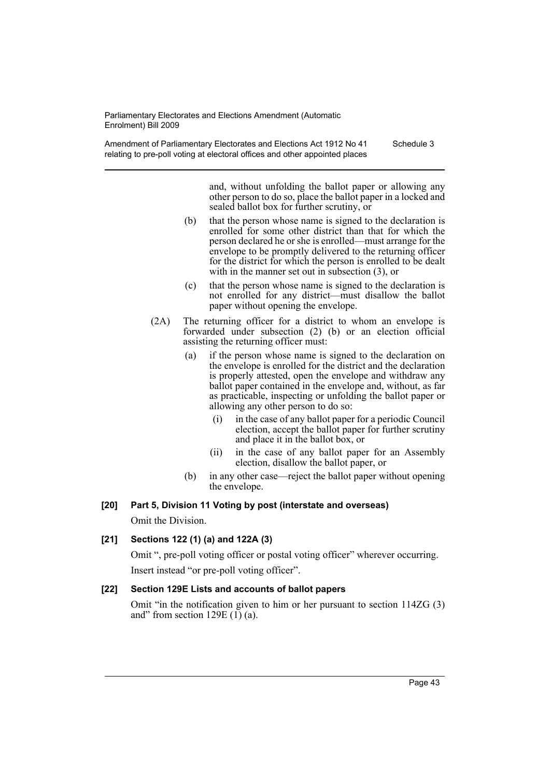Amendment of Parliamentary Electorates and Elections Act 1912 No 41 relating to pre-poll voting at electoral offices and other appointed places Schedule 3

> and, without unfolding the ballot paper or allowing any other person to do so, place the ballot paper in a locked and sealed ballot box for further scrutiny, or

- (b) that the person whose name is signed to the declaration is enrolled for some other district than that for which the person declared he or she is enrolled—must arrange for the envelope to be promptly delivered to the returning officer for the district for which the person is enrolled to be dealt with in the manner set out in subsection (3), or
- (c) that the person whose name is signed to the declaration is not enrolled for any district—must disallow the ballot paper without opening the envelope.
- (2A) The returning officer for a district to whom an envelope is forwarded under subsection (2) (b) or an election official assisting the returning officer must:
	- (a) if the person whose name is signed to the declaration on the envelope is enrolled for the district and the declaration is properly attested, open the envelope and withdraw any ballot paper contained in the envelope and, without, as far as practicable, inspecting or unfolding the ballot paper or allowing any other person to do so:
		- (i) in the case of any ballot paper for a periodic Council election, accept the ballot paper for further scrutiny and place it in the ballot box, or
		- (ii) in the case of any ballot paper for an Assembly election, disallow the ballot paper, or
	- (b) in any other case—reject the ballot paper without opening the envelope.

# **[20] Part 5, Division 11 Voting by post (interstate and overseas)** Omit the Division.

# **[21] Sections 122 (1) (a) and 122A (3)**

Omit ", pre-poll voting officer or postal voting officer" wherever occurring. Insert instead "or pre-poll voting officer".

## **[22] Section 129E Lists and accounts of ballot papers**

Omit "in the notification given to him or her pursuant to section 114ZG (3) and" from section 129E  $(1)$   $(a)$ .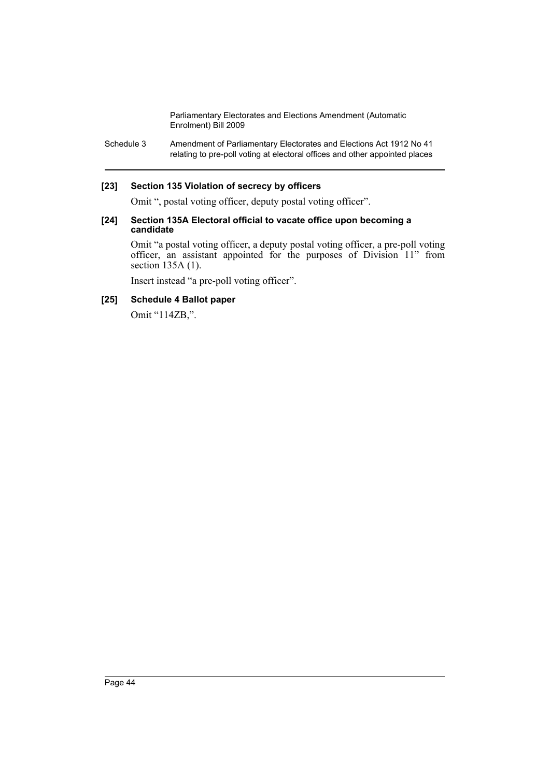Schedule 3 Amendment of Parliamentary Electorates and Elections Act 1912 No 41 relating to pre-poll voting at electoral offices and other appointed places

## **[23] Section 135 Violation of secrecy by officers**

Omit ", postal voting officer, deputy postal voting officer".

#### **[24] Section 135A Electoral official to vacate office upon becoming a candidate**

Omit "a postal voting officer, a deputy postal voting officer, a pre-poll voting officer, an assistant appointed for the purposes of Division 11" from section 135A (1).

Insert instead "a pre-poll voting officer".

## **[25] Schedule 4 Ballot paper**

Omit "114ZB,".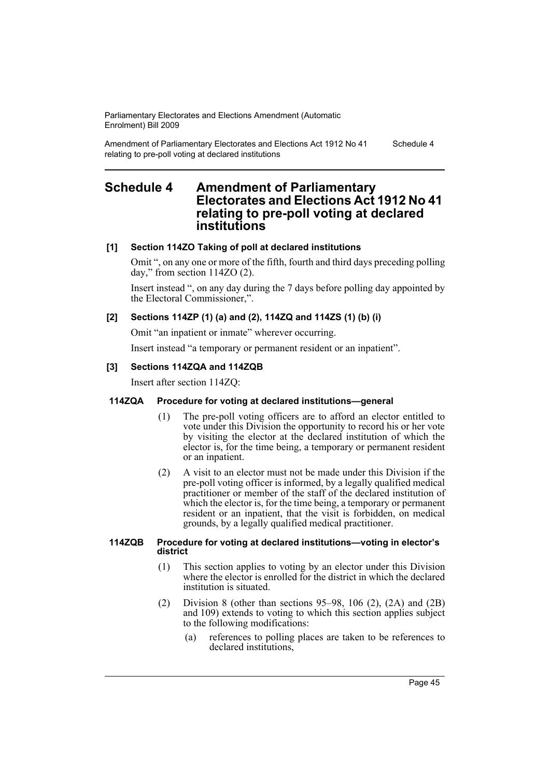Amendment of Parliamentary Electorates and Elections Act 1912 No 41 relating to pre-poll voting at declared institutions

#### Schedule 4

# **Schedule 4 Amendment of Parliamentary Electorates and Elections Act 1912 No 41 relating to pre-poll voting at declared institutions**

# **[1] Section 114ZO Taking of poll at declared institutions**

Omit ", on any one or more of the fifth, fourth and third days preceding polling day," from section 114ZO (2).

Insert instead ", on any day during the 7 days before polling day appointed by the Electoral Commissioner,".

# **[2] Sections 114ZP (1) (a) and (2), 114ZQ and 114ZS (1) (b) (i)**

Omit "an inpatient or inmate" wherever occurring.

Insert instead "a temporary or permanent resident or an inpatient".

# **[3] Sections 114ZQA and 114ZQB**

Insert after section 114ZQ:

## **114ZQA Procedure for voting at declared institutions—general**

- (1) The pre-poll voting officers are to afford an elector entitled to vote under this Division the opportunity to record his or her vote by visiting the elector at the declared institution of which the elector is, for the time being, a temporary or permanent resident or an inpatient.
- (2) A visit to an elector must not be made under this Division if the pre-poll voting officer is informed, by a legally qualified medical practitioner or member of the staff of the declared institution of which the elector is, for the time being, a temporary or permanent resident or an inpatient, that the visit is forbidden, on medical grounds, by a legally qualified medical practitioner.

#### **114ZQB Procedure for voting at declared institutions—voting in elector's district**

- (1) This section applies to voting by an elector under this Division where the elector is enrolled for the district in which the declared institution is situated.
- (2) Division 8 (other than sections 95–98, 106 (2), (2A) and (2B) and 109) extends to voting to which this section applies subject to the following modifications:
	- (a) references to polling places are taken to be references to declared institutions,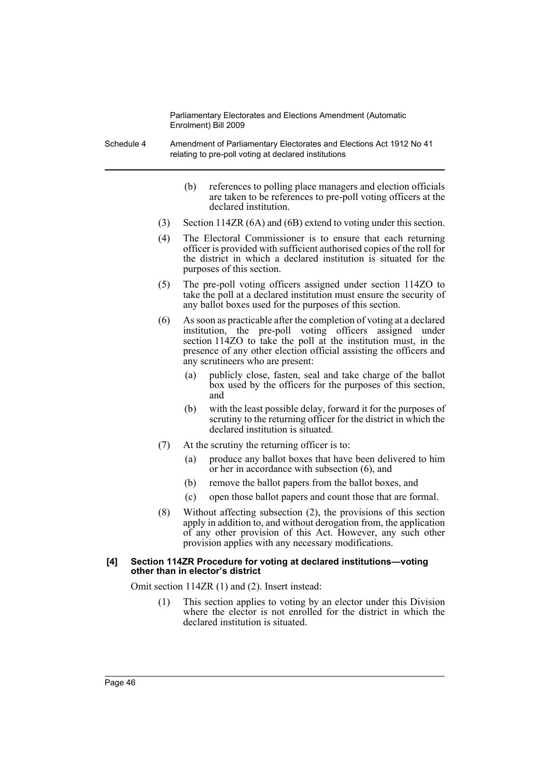Schedule 4 Amendment of Parliamentary Electorates and Elections Act 1912 No 41 relating to pre-poll voting at declared institutions

- (b) references to polling place managers and election officials are taken to be references to pre-poll voting officers at the declared institution.
- (3) Section 114ZR (6A) and (6B) extend to voting under this section.
- (4) The Electoral Commissioner is to ensure that each returning officer is provided with sufficient authorised copies of the roll for the district in which a declared institution is situated for the purposes of this section.
- (5) The pre-poll voting officers assigned under section 114ZO to take the poll at a declared institution must ensure the security of any ballot boxes used for the purposes of this section.
- (6) As soon as practicable after the completion of voting at a declared institution, the pre-poll voting officers assigned under section 114ZO to take the poll at the institution must, in the presence of any other election official assisting the officers and any scrutineers who are present:
	- (a) publicly close, fasten, seal and take charge of the ballot box used by the officers for the purposes of this section, and
	- (b) with the least possible delay, forward it for the purposes of scrutiny to the returning officer for the district in which the declared institution is situated.
- (7) At the scrutiny the returning officer is to:
	- (a) produce any ballot boxes that have been delivered to him or her in accordance with subsection (6), and
	- (b) remove the ballot papers from the ballot boxes, and
	- (c) open those ballot papers and count those that are formal.
- (8) Without affecting subsection (2), the provisions of this section apply in addition to, and without derogation from, the application of any other provision of this Act. However, any such other provision applies with any necessary modifications.

## **[4] Section 114ZR Procedure for voting at declared institutions—voting other than in elector's district**

Omit section 114ZR (1) and (2). Insert instead:

(1) This section applies to voting by an elector under this Division where the elector is not enrolled for the district in which the declared institution is situated.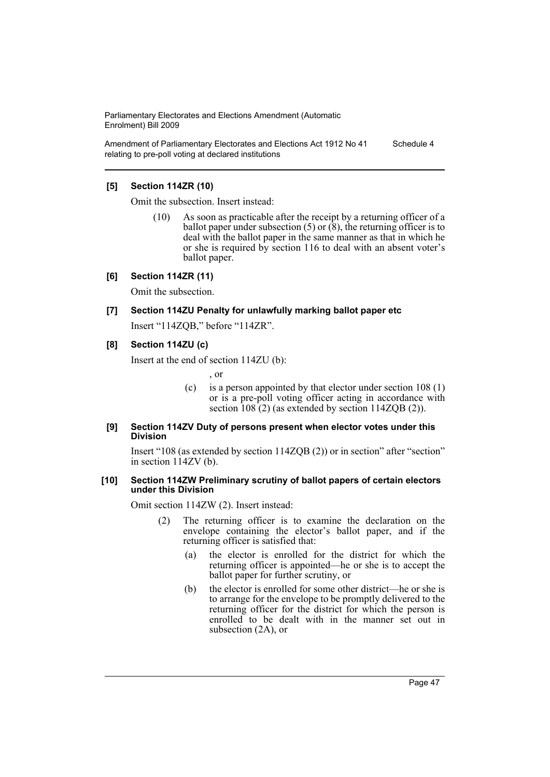Amendment of Parliamentary Electorates and Elections Act 1912 No 41 relating to pre-poll voting at declared institutions Schedule 4

## **[5] Section 114ZR (10)**

Omit the subsection. Insert instead:

(10) As soon as practicable after the receipt by a returning officer of a ballot paper under subsection  $(5)$  or  $(8)$ , the returning officer is to deal with the ballot paper in the same manner as that in which he or she is required by section 116 to deal with an absent voter's ballot paper.

### **[6] Section 114ZR (11)**

Omit the subsection.

**[7] Section 114ZU Penalty for unlawfully marking ballot paper etc** Insert "114ZQB," before "114ZR".

#### **[8] Section 114ZU (c)**

Insert at the end of section 114ZU (b):

, or

(c) is a person appointed by that elector under section 108 (1) or is a pre-poll voting officer acting in accordance with section 108 (2) (as extended by section 114ZQB (2)).

#### **[9] Section 114ZV Duty of persons present when elector votes under this Division**

Insert "108 (as extended by section 114ZQB (2)) or in section" after "section" in section 114ZV (b).

#### **[10] Section 114ZW Preliminary scrutiny of ballot papers of certain electors under this Division**

Omit section 114ZW (2). Insert instead:

- (2) The returning officer is to examine the declaration on the envelope containing the elector's ballot paper, and if the returning officer is satisfied that:
	- (a) the elector is enrolled for the district for which the returning officer is appointed—he or she is to accept the ballot paper for further scrutiny, or
	- (b) the elector is enrolled for some other district—he or she is to arrange for the envelope to be promptly delivered to the returning officer for the district for which the person is enrolled to be dealt with in the manner set out in subsection (2A), or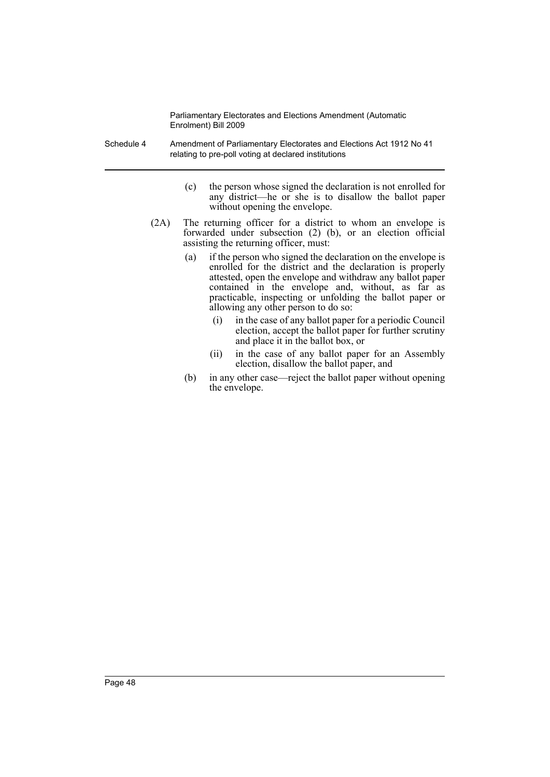Schedule 4 Amendment of Parliamentary Electorates and Elections Act 1912 No 41 relating to pre-poll voting at declared institutions

- (c) the person whose signed the declaration is not enrolled for any district—he or she is to disallow the ballot paper without opening the envelope.
- (2A) The returning officer for a district to whom an envelope is forwarded under subsection (2) (b), or an election official assisting the returning officer, must:
	- (a) if the person who signed the declaration on the envelope is enrolled for the district and the declaration is properly attested, open the envelope and withdraw any ballot paper contained in the envelope and, without, as far as practicable, inspecting or unfolding the ballot paper or allowing any other person to do so:
		- (i) in the case of any ballot paper for a periodic Council election, accept the ballot paper for further scrutiny and place it in the ballot box, or
		- (ii) in the case of any ballot paper for an Assembly election, disallow the ballot paper, and
	- (b) in any other case—reject the ballot paper without opening the envelope.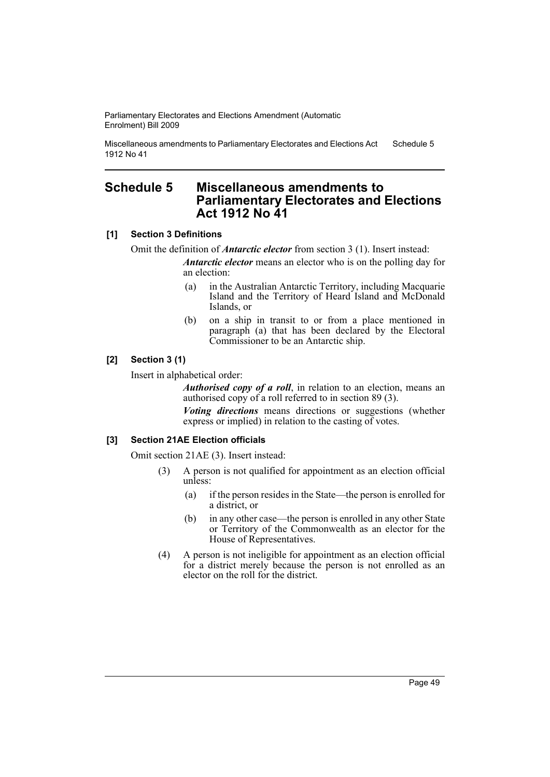Miscellaneous amendments to Parliamentary Electorates and Elections Act 1912 No 41 Schedule 5

# **Schedule 5 Miscellaneous amendments to Parliamentary Electorates and Elections Act 1912 No 41**

## **[1] Section 3 Definitions**

Omit the definition of *Antarctic elector* from section 3 (1). Insert instead:

*Antarctic elector* means an elector who is on the polling day for an election:

- (a) in the Australian Antarctic Territory, including Macquarie Island and the Territory of Heard Island and McDonald Islands, or
- (b) on a ship in transit to or from a place mentioned in paragraph (a) that has been declared by the Electoral Commissioner to be an Antarctic ship.

## **[2] Section 3 (1)**

Insert in alphabetical order:

*Authorised copy of a roll*, in relation to an election, means an authorised copy of a roll referred to in section 89 (3).

*Voting directions* means directions or suggestions (whether express or implied) in relation to the casting of votes.

## **[3] Section 21AE Election officials**

Omit section 21AE (3). Insert instead:

- (3) A person is not qualified for appointment as an election official unless:
	- (a) if the person resides in the State—the person is enrolled for a district, or
	- (b) in any other case—the person is enrolled in any other State or Territory of the Commonwealth as an elector for the House of Representatives.
- (4) A person is not ineligible for appointment as an election official for a district merely because the person is not enrolled as an elector on the roll for the district.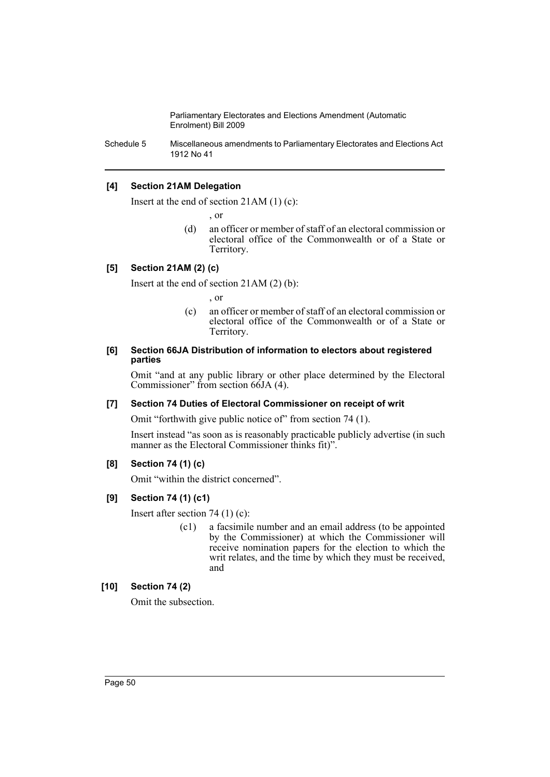Schedule 5 Miscellaneous amendments to Parliamentary Electorates and Elections Act 1912 No 41

# **[4] Section 21AM Delegation**

Insert at the end of section 21AM (1) (c):

, or

(d) an officer or member of staff of an electoral commission or electoral office of the Commonwealth or of a State or Territory.

## **[5] Section 21AM (2) (c)**

Insert at the end of section 21AM (2) (b):

, or

(c) an officer or member of staff of an electoral commission or electoral office of the Commonwealth or of a State or Territory.

#### **[6] Section 66JA Distribution of information to electors about registered parties**

Omit "and at any public library or other place determined by the Electoral Commissioner" from section 66JA (4).

## **[7] Section 74 Duties of Electoral Commissioner on receipt of writ**

Omit "forthwith give public notice of" from section 74 (1).

Insert instead "as soon as is reasonably practicable publicly advertise (in such manner as the Electoral Commissioner thinks fit)".

## **[8] Section 74 (1) (c)**

Omit "within the district concerned".

## **[9] Section 74 (1) (c1)**

Insert after section 74 (1) (c):

(c1) a facsimile number and an email address (to be appointed by the Commissioner) at which the Commissioner will receive nomination papers for the election to which the writ relates, and the time by which they must be received, and

# **[10] Section 74 (2)**

Omit the subsection.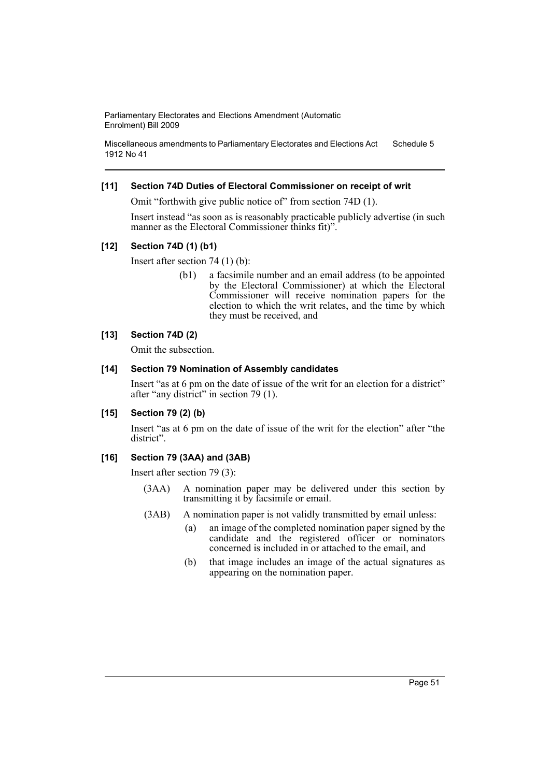Miscellaneous amendments to Parliamentary Electorates and Elections Act 1912 No 41 Schedule 5

## **[11] Section 74D Duties of Electoral Commissioner on receipt of writ**

Omit "forthwith give public notice of" from section 74D (1).

Insert instead "as soon as is reasonably practicable publicly advertise (in such manner as the Electoral Commissioner thinks fit)".

#### **[12] Section 74D (1) (b1)**

Insert after section 74 (1) (b):

(b1) a facsimile number and an email address (to be appointed by the Electoral Commissioner) at which the Electoral Commissioner will receive nomination papers for the election to which the writ relates, and the time by which they must be received, and

## **[13] Section 74D (2)**

Omit the subsection.

## **[14] Section 79 Nomination of Assembly candidates**

Insert "as at 6 pm on the date of issue of the writ for an election for a district" after "any district" in section 79 (1).

# **[15] Section 79 (2) (b)**

Insert "as at 6 pm on the date of issue of the writ for the election" after "the district".

#### **[16] Section 79 (3AA) and (3AB)**

Insert after section 79 (3):

- (3AA) A nomination paper may be delivered under this section by transmitting it by facsimile or email.
- (3AB) A nomination paper is not validly transmitted by email unless:
	- (a) an image of the completed nomination paper signed by the candidate and the registered officer or nominators concerned is included in or attached to the email, and
	- (b) that image includes an image of the actual signatures as appearing on the nomination paper.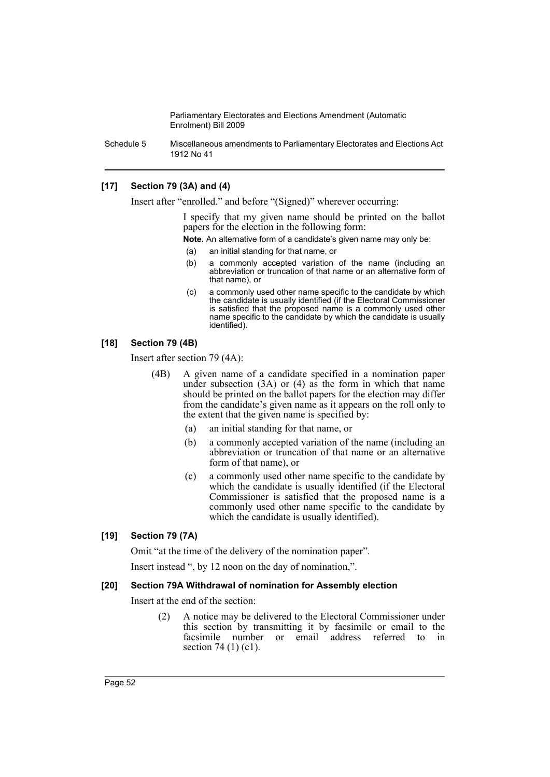Schedule 5 Miscellaneous amendments to Parliamentary Electorates and Elections Act 1912 No 41

## **[17] Section 79 (3A) and (4)**

Insert after "enrolled." and before "(Signed)" wherever occurring:

I specify that my given name should be printed on the ballot papers for the election in the following form:

**Note.** An alternative form of a candidate's given name may only be:

- (a) an initial standing for that name, or
- (b) a commonly accepted variation of the name (including an abbreviation or truncation of that name or an alternative form of that name), or
- (c) a commonly used other name specific to the candidate by which the candidate is usually identified (if the Electoral Commissioner is satisfied that the proposed name is a commonly used other name specific to the candidate by which the candidate is usually identified).

## **[18] Section 79 (4B)**

Insert after section 79 (4A):

- (4B) A given name of a candidate specified in a nomination paper under subsection  $(3A)$  or  $(4)$  as the form in which that name should be printed on the ballot papers for the election may differ from the candidate's given name as it appears on the roll only to the extent that the given name is specified by:
	- (a) an initial standing for that name, or
	- (b) a commonly accepted variation of the name (including an abbreviation or truncation of that name or an alternative form of that name), or
	- (c) a commonly used other name specific to the candidate by which the candidate is usually identified (if the Electoral Commissioner is satisfied that the proposed name is a commonly used other name specific to the candidate by which the candidate is usually identified).

## **[19] Section 79 (7A)**

Omit "at the time of the delivery of the nomination paper".

Insert instead ", by 12 noon on the day of nomination,".

#### **[20] Section 79A Withdrawal of nomination for Assembly election**

Insert at the end of the section:

(2) A notice may be delivered to the Electoral Commissioner under this section by transmitting it by facsimile or email to the facsimile number or email address referred to in section 74 (1) (c1).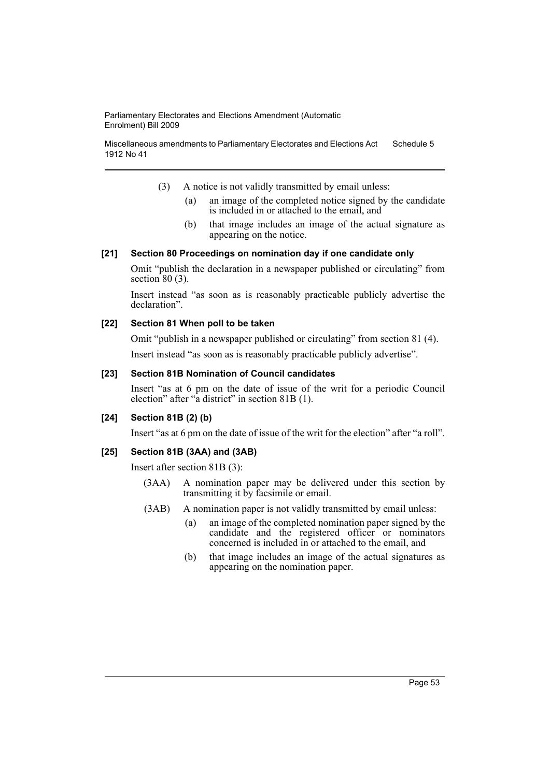Miscellaneous amendments to Parliamentary Electorates and Elections Act 1912 No 41 Schedule 5

- (3) A notice is not validly transmitted by email unless:
	- (a) an image of the completed notice signed by the candidate is included in or attached to the email, and
	- (b) that image includes an image of the actual signature as appearing on the notice.

#### **[21] Section 80 Proceedings on nomination day if one candidate only**

Omit "publish the declaration in a newspaper published or circulating" from section  $80(3)$ .

Insert instead "as soon as is reasonably practicable publicly advertise the declaration".

## **[22] Section 81 When poll to be taken**

Omit "publish in a newspaper published or circulating" from section 81 (4). Insert instead "as soon as is reasonably practicable publicly advertise".

#### **[23] Section 81B Nomination of Council candidates**

Insert "as at 6 pm on the date of issue of the writ for a periodic Council election" after "a district" in section 81B (1).

#### **[24] Section 81B (2) (b)**

Insert "as at 6 pm on the date of issue of the writ for the election" after "a roll".

## **[25] Section 81B (3AA) and (3AB)**

Insert after section 81B (3):

- (3AA) A nomination paper may be delivered under this section by transmitting it by facsimile or email.
- (3AB) A nomination paper is not validly transmitted by email unless:
	- (a) an image of the completed nomination paper signed by the candidate and the registered officer or nominators concerned is included in or attached to the email, and
	- (b) that image includes an image of the actual signatures as appearing on the nomination paper.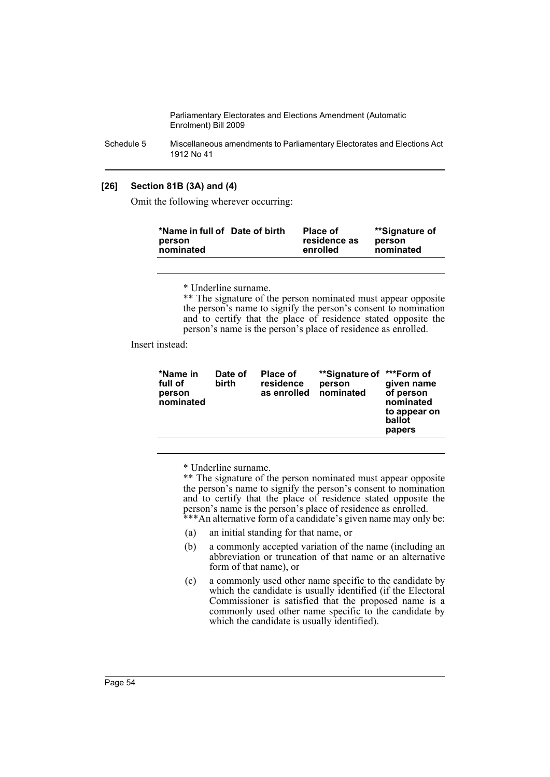Schedule 5 Miscellaneous amendments to Parliamentary Electorates and Elections Act 1912 No 41

## **[26] Section 81B (3A) and (4)**

Omit the following wherever occurring:

| *Name in full of Date of birth<br><b>Place of</b><br>residence as<br>person<br>nominated<br>enrolled | **Signature of<br>person<br>nominated |
|------------------------------------------------------------------------------------------------------|---------------------------------------|
|------------------------------------------------------------------------------------------------------|---------------------------------------|

\* Underline surname.

\*\* The signature of the person nominated must appear opposite the person's name to signify the person's consent to nomination and to certify that the place of residence stated opposite the person's name is the person's place of residence as enrolled.

Insert instead:

| *Name in<br>full of<br>person<br>nominated | Date of<br>birth | <b>Place of</b><br>residence<br>as enrolled | **Signature of<br>person<br>nominated | ***Form of<br>given name<br>of person<br>nominated<br>to appear on<br>ballot<br>papers |
|--------------------------------------------|------------------|---------------------------------------------|---------------------------------------|----------------------------------------------------------------------------------------|
|                                            |                  |                                             |                                       |                                                                                        |

\* Underline surname.

\*\* The signature of the person nominated must appear opposite the person's name to signify the person's consent to nomination and to certify that the place of residence stated opposite the person's name is the person's place of residence as enrolled.

\*\*\*An alternative form of a candidate's given name may only be:

- (a) an initial standing for that name, or
- (b) a commonly accepted variation of the name (including an abbreviation or truncation of that name or an alternative form of that name), or
- (c) a commonly used other name specific to the candidate by which the candidate is usually identified (if the Electoral Commissioner is satisfied that the proposed name is a commonly used other name specific to the candidate by which the candidate is usually identified).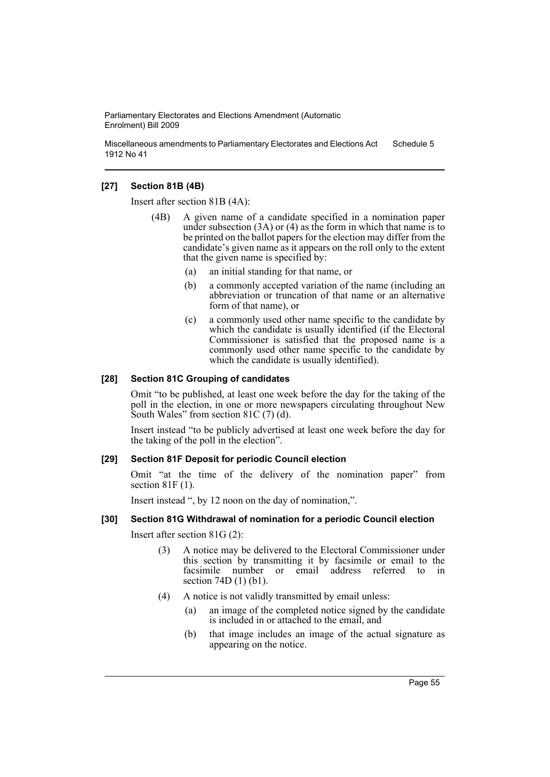Miscellaneous amendments to Parliamentary Electorates and Elections Act 1912 No 41 Schedule 5

## **[27] Section 81B (4B)**

Insert after section 81B (4A):

- (4B) A given name of a candidate specified in a nomination paper under subsection  $(3A)$  or  $(4)$  as the form in which that name is to be printed on the ballot papers for the election may differ from the candidate's given name as it appears on the roll only to the extent that the given name is specified by:
	- (a) an initial standing for that name, or
	- (b) a commonly accepted variation of the name (including an abbreviation or truncation of that name or an alternative form of that name), or
	- (c) a commonly used other name specific to the candidate by which the candidate is usually identified (if the Electoral Commissioner is satisfied that the proposed name is a commonly used other name specific to the candidate by which the candidate is usually identified).

## **[28] Section 81C Grouping of candidates**

Omit "to be published, at least one week before the day for the taking of the poll in the election, in one or more newspapers circulating throughout New South Wales" from section 81C (7) (d).

Insert instead "to be publicly advertised at least one week before the day for the taking of the poll in the election".

#### **[29] Section 81F Deposit for periodic Council election**

Omit "at the time of the delivery of the nomination paper" from section 81F (1).

Insert instead ", by 12 noon on the day of nomination,".

## **[30] Section 81G Withdrawal of nomination for a periodic Council election**

Insert after section 81G (2):

- (3) A notice may be delivered to the Electoral Commissioner under this section by transmitting it by facsimile or email to the facsimile number or email address referred to in section 74D (1) (b1).
- (4) A notice is not validly transmitted by email unless:
	- (a) an image of the completed notice signed by the candidate is included in or attached to the email, and
	- (b) that image includes an image of the actual signature as appearing on the notice.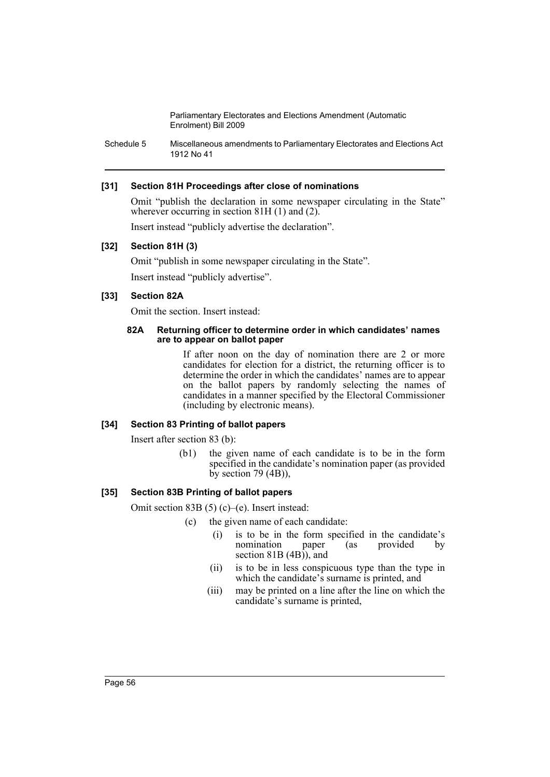Schedule 5 Miscellaneous amendments to Parliamentary Electorates and Elections Act 1912 No 41

## **[31] Section 81H Proceedings after close of nominations**

Omit "publish the declaration in some newspaper circulating in the State" wherever occurring in section 81H  $(1)$  and  $(2)$ .

Insert instead "publicly advertise the declaration".

## **[32] Section 81H (3)**

Omit "publish in some newspaper circulating in the State". Insert instead "publicly advertise".

## **[33] Section 82A**

Omit the section. Insert instead:

#### **82A Returning officer to determine order in which candidates' names are to appear on ballot paper**

If after noon on the day of nomination there are 2 or more candidates for election for a district, the returning officer is to determine the order in which the candidates' names are to appear on the ballot papers by randomly selecting the names of candidates in a manner specified by the Electoral Commissioner (including by electronic means).

#### **[34] Section 83 Printing of ballot papers**

Insert after section 83 (b):

(b1) the given name of each candidate is to be in the form specified in the candidate's nomination paper (as provided by section  $79 \text{ (4B)}$ ,

## **[35] Section 83B Printing of ballot papers**

Omit section 83B (5) (c)–(e). Insert instead:

- (c) the given name of each candidate:
	- (i) is to be in the form specified in the candidate's nomination paper (as provided by nomination paper (as provided by section 81B (4B)), and
	- (ii) is to be in less conspicuous type than the type in which the candidate's surname is printed, and
	- (iii) may be printed on a line after the line on which the candidate's surname is printed,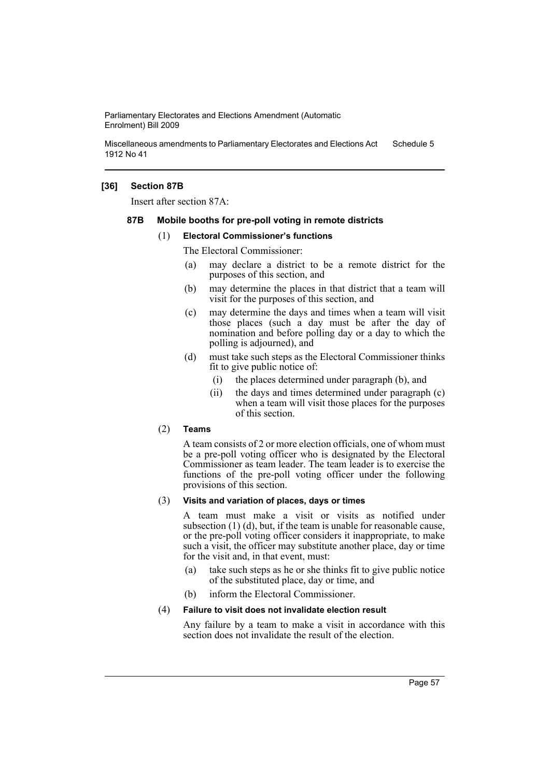Miscellaneous amendments to Parliamentary Electorates and Elections Act 1912 No 41 Schedule 5

## **[36] Section 87B**

Insert after section 87A:

#### **87B Mobile booths for pre-poll voting in remote districts**

#### (1) **Electoral Commissioner's functions**

The Electoral Commissioner:

- (a) may declare a district to be a remote district for the purposes of this section, and
- (b) may determine the places in that district that a team will visit for the purposes of this section, and
- (c) may determine the days and times when a team will visit those places (such a day must be after the day of nomination and before polling day or a day to which the polling is adjourned), and
- (d) must take such steps as the Electoral Commissioner thinks fit to give public notice of:
	- (i) the places determined under paragraph (b), and
	- (ii) the days and times determined under paragraph (c) when a team will visit those places for the purposes of this section.

## (2) **Teams**

A team consists of 2 or more election officials, one of whom must be a pre-poll voting officer who is designated by the Electoral Commissioner as team leader. The team leader is to exercise the functions of the pre-poll voting officer under the following provisions of this section.

#### (3) **Visits and variation of places, days or times**

A team must make a visit or visits as notified under subsection (1) (d), but, if the team is unable for reasonable cause, or the pre-poll voting officer considers it inappropriate, to make such a visit, the officer may substitute another place, day or time for the visit and, in that event, must:

- (a) take such steps as he or she thinks fit to give public notice of the substituted place, day or time, and
- (b) inform the Electoral Commissioner.

#### (4) **Failure to visit does not invalidate election result**

Any failure by a team to make a visit in accordance with this section does not invalidate the result of the election.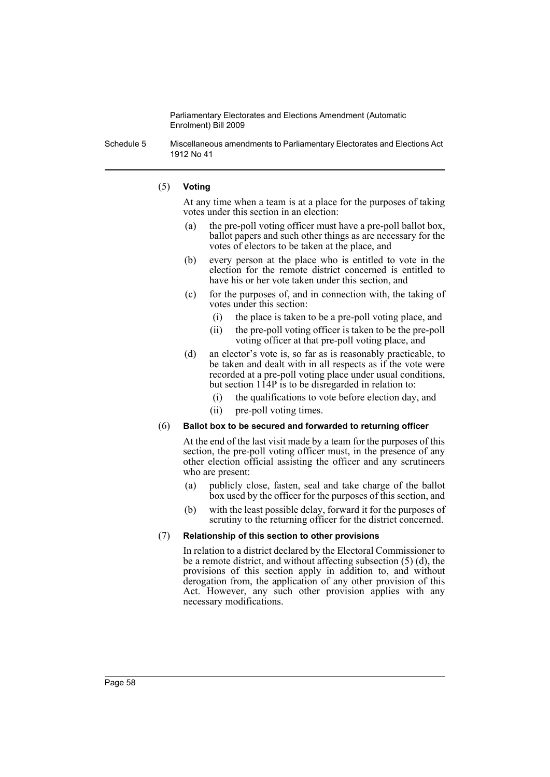Schedule 5 Miscellaneous amendments to Parliamentary Electorates and Elections Act 1912 No 41

### (5) **Voting**

At any time when a team is at a place for the purposes of taking votes under this section in an election:

- (a) the pre-poll voting officer must have a pre-poll ballot box, ballot papers and such other things as are necessary for the votes of electors to be taken at the place, and
- (b) every person at the place who is entitled to vote in the election for the remote district concerned is entitled to have his or her vote taken under this section, and
- (c) for the purposes of, and in connection with, the taking of votes under this section:
	- (i) the place is taken to be a pre-poll voting place, and
	- (ii) the pre-poll voting officer is taken to be the pre-poll voting officer at that pre-poll voting place, and
- (d) an elector's vote is, so far as is reasonably practicable, to be taken and dealt with in all respects as if the vote were recorded at a pre-poll voting place under usual conditions, but section 114P is to be disregarded in relation to:
	- (i) the qualifications to vote before election day, and
	- (ii) pre-poll voting times.

#### (6) **Ballot box to be secured and forwarded to returning officer**

At the end of the last visit made by a team for the purposes of this section, the pre-poll voting officer must, in the presence of any other election official assisting the officer and any scrutineers who are present:

- (a) publicly close, fasten, seal and take charge of the ballot box used by the officer for the purposes of this section, and
- (b) with the least possible delay, forward it for the purposes of scrutiny to the returning officer for the district concerned.

#### (7) **Relationship of this section to other provisions**

In relation to a district declared by the Electoral Commissioner to be a remote district, and without affecting subsection (5) (d), the provisions of this section apply in addition to, and without derogation from, the application of any other provision of this Act. However, any such other provision applies with any necessary modifications.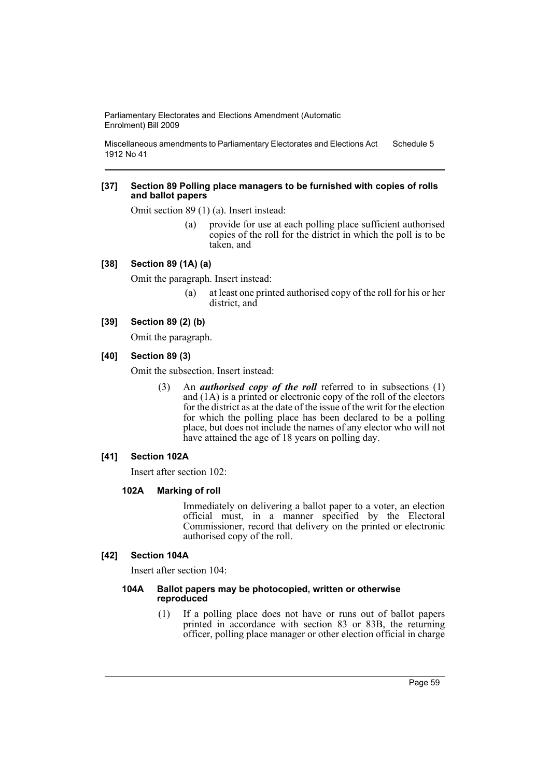Miscellaneous amendments to Parliamentary Electorates and Elections Act 1912 No 41 Schedule 5

#### **[37] Section 89 Polling place managers to be furnished with copies of rolls and ballot papers**

Omit section 89 (1) (a). Insert instead:

(a) provide for use at each polling place sufficient authorised copies of the roll for the district in which the poll is to be taken, and

## **[38] Section 89 (1A) (a)**

Omit the paragraph. Insert instead:

(a) at least one printed authorised copy of the roll for his or her district, and

## **[39] Section 89 (2) (b)**

Omit the paragraph.

## **[40] Section 89 (3)**

Omit the subsection. Insert instead:

(3) An *authorised copy of the roll* referred to in subsections (1) and (1A) is a printed or electronic copy of the roll of the electors for the district as at the date of the issue of the writ for the election for which the polling place has been declared to be a polling place, but does not include the names of any elector who will not have attained the age of 18 years on polling day.

## **[41] Section 102A**

Insert after section 102:

## **102A Marking of roll**

Immediately on delivering a ballot paper to a voter, an election official must, in a manner specified by the Electoral Commissioner, record that delivery on the printed or electronic authorised copy of the roll.

## **[42] Section 104A**

Insert after section 104:

#### **104A Ballot papers may be photocopied, written or otherwise reproduced**

(1) If a polling place does not have or runs out of ballot papers printed in accordance with section 83 or 83B, the returning officer, polling place manager or other election official in charge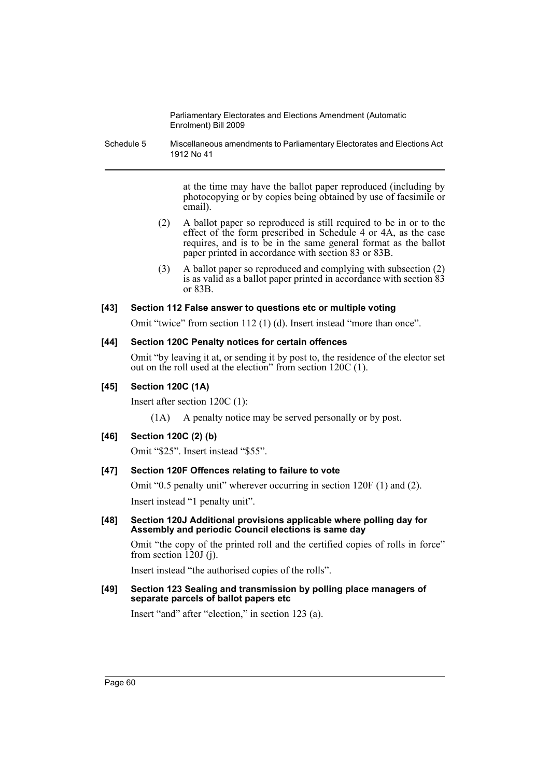Schedule 5 Miscellaneous amendments to Parliamentary Electorates and Elections Act 1912 No 41

> at the time may have the ballot paper reproduced (including by photocopying or by copies being obtained by use of facsimile or email).

- (2) A ballot paper so reproduced is still required to be in or to the effect of the form prescribed in Schedule 4 or 4A, as the case requires, and is to be in the same general format as the ballot paper printed in accordance with section 83 or 83B.
- (3) A ballot paper so reproduced and complying with subsection (2) is as valid as a ballot paper printed in accordance with section 83 or 83B.

## **[43] Section 112 False answer to questions etc or multiple voting**

Omit "twice" from section 112 (1) (d). Insert instead "more than once".

## **[44] Section 120C Penalty notices for certain offences**

Omit "by leaving it at, or sending it by post to, the residence of the elector set out on the roll used at the election" from section 120C (1).

## **[45] Section 120C (1A)**

Insert after section 120C (1):

(1A) A penalty notice may be served personally or by post.

## **[46] Section 120C (2) (b)**

Omit "\$25". Insert instead "\$55".

## **[47] Section 120F Offences relating to failure to vote**

Omit "0.5 penalty unit" wherever occurring in section 120F (1) and (2). Insert instead "1 penalty unit".

**[48] Section 120J Additional provisions applicable where polling day for Assembly and periodic Council elections is same day**

Omit "the copy of the printed roll and the certified copies of rolls in force" from section  $120J$  (j).

Insert instead "the authorised copies of the rolls".

**[49] Section 123 Sealing and transmission by polling place managers of separate parcels of ballot papers etc**

Insert "and" after "election," in section 123 (a).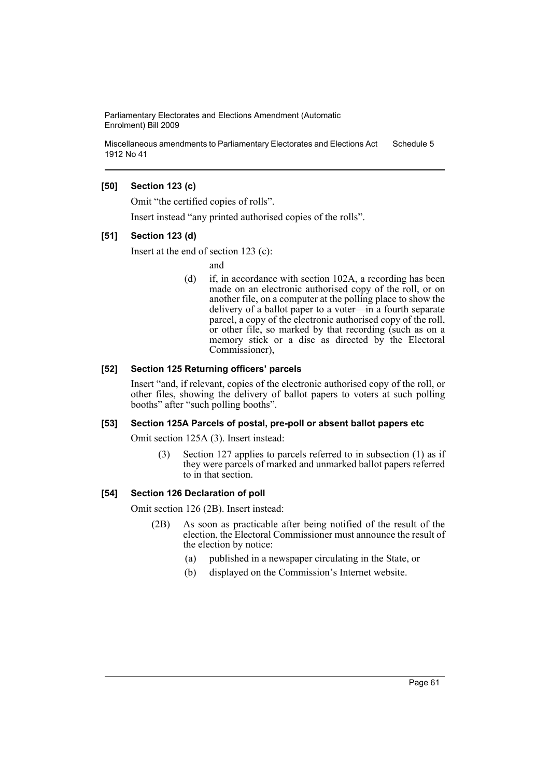Miscellaneous amendments to Parliamentary Electorates and Elections Act 1912 No 41 Schedule 5

## **[50] Section 123 (c)**

Omit "the certified copies of rolls".

Insert instead "any printed authorised copies of the rolls".

## **[51] Section 123 (d)**

Insert at the end of section 123 (c):

and

(d) if, in accordance with section 102A, a recording has been made on an electronic authorised copy of the roll, or on another file, on a computer at the polling place to show the delivery of a ballot paper to a voter—in a fourth separate parcel, a copy of the electronic authorised copy of the roll, or other file, so marked by that recording (such as on a memory stick or a disc as directed by the Electoral Commissioner),

## **[52] Section 125 Returning officers' parcels**

Insert "and, if relevant, copies of the electronic authorised copy of the roll, or other files, showing the delivery of ballot papers to voters at such polling booths" after "such polling booths".

#### **[53] Section 125A Parcels of postal, pre-poll or absent ballot papers etc**

Omit section 125A (3). Insert instead:

(3) Section 127 applies to parcels referred to in subsection (1) as if they were parcels of marked and unmarked ballot papers referred to in that section.

### **[54] Section 126 Declaration of poll**

Omit section 126 (2B). Insert instead:

- (2B) As soon as practicable after being notified of the result of the election, the Electoral Commissioner must announce the result of the election by notice:
	- (a) published in a newspaper circulating in the State, or
	- (b) displayed on the Commission's Internet website.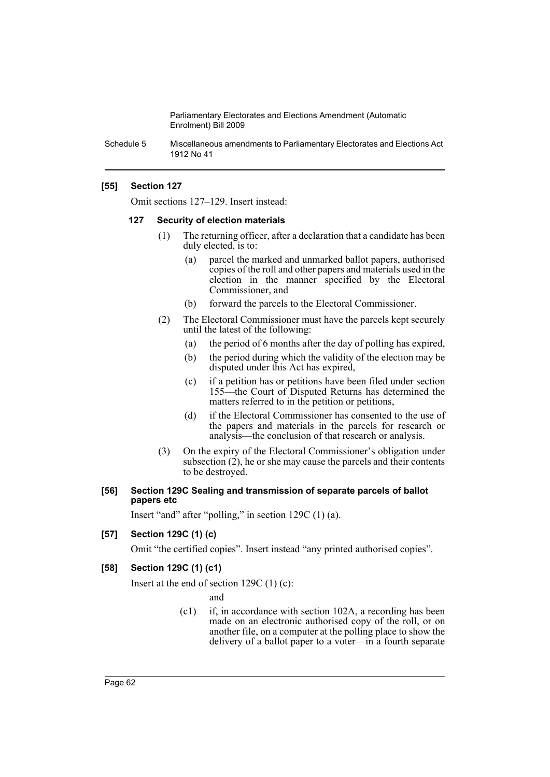Schedule 5 Miscellaneous amendments to Parliamentary Electorates and Elections Act 1912 No 41

## **[55] Section 127**

Omit sections 127–129. Insert instead:

#### **127 Security of election materials**

- (1) The returning officer, after a declaration that a candidate has been duly elected, is to:
	- (a) parcel the marked and unmarked ballot papers, authorised copies of the roll and other papers and materials used in the election in the manner specified by the Electoral Commissioner, and
	- (b) forward the parcels to the Electoral Commissioner.
- (2) The Electoral Commissioner must have the parcels kept securely until the latest of the following:
	- (a) the period of 6 months after the day of polling has expired,
	- (b) the period during which the validity of the election may be disputed under this Act has expired,
	- (c) if a petition has or petitions have been filed under section 155—the Court of Disputed Returns has determined the matters referred to in the petition or petitions,
	- (d) if the Electoral Commissioner has consented to the use of the papers and materials in the parcels for research or analysis—the conclusion of that research or analysis.
- (3) On the expiry of the Electoral Commissioner's obligation under subsection  $(2)$ , he or she may cause the parcels and their contents to be destroyed.

#### **[56] Section 129C Sealing and transmission of separate parcels of ballot papers etc**

Insert "and" after "polling," in section 129C (1) (a).

## **[57] Section 129C (1) (c)**

Omit "the certified copies". Insert instead "any printed authorised copies".

### **[58] Section 129C (1) (c1)**

Insert at the end of section 129C (1) (c):

and

(c1) if, in accordance with section 102A, a recording has been made on an electronic authorised copy of the roll, or on another file, on a computer at the polling place to show the delivery of a ballot paper to a voter—in a fourth separate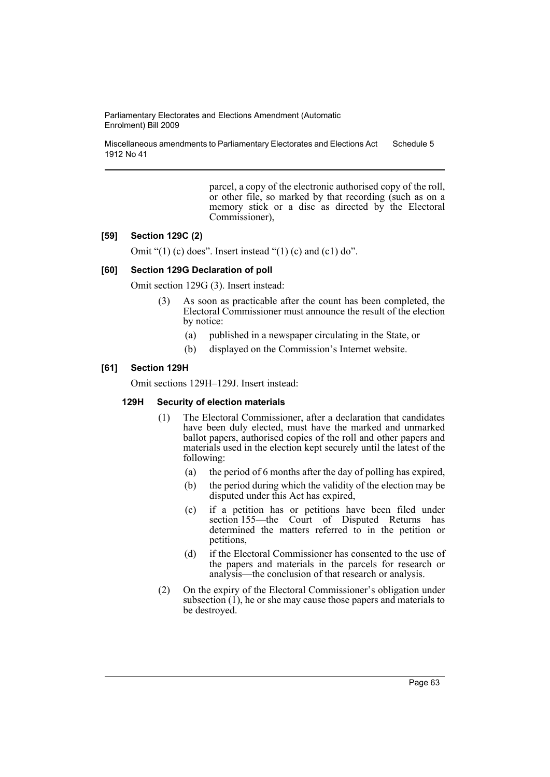Miscellaneous amendments to Parliamentary Electorates and Elections Act 1912 No 41 Schedule 5

> parcel, a copy of the electronic authorised copy of the roll, or other file, so marked by that recording (such as on a memory stick or a disc as directed by the Electoral Commissioner),

#### **[59] Section 129C (2)**

Omit " $(1)$  (c) does". Insert instead " $(1)$  (c) and (c1) do".

#### **[60] Section 129G Declaration of poll**

Omit section 129G (3). Insert instead:

- (3) As soon as practicable after the count has been completed, the Electoral Commissioner must announce the result of the election by notice:
	- (a) published in a newspaper circulating in the State, or
	- (b) displayed on the Commission's Internet website.

#### **[61] Section 129H**

Omit sections 129H–129J. Insert instead:

#### **129H Security of election materials**

- (1) The Electoral Commissioner, after a declaration that candidates have been duly elected, must have the marked and unmarked ballot papers, authorised copies of the roll and other papers and materials used in the election kept securely until the latest of the following:
	- (a) the period of 6 months after the day of polling has expired,
	- (b) the period during which the validity of the election may be disputed under this Act has expired,
	- (c) if a petition has or petitions have been filed under section 155—the Court of Disputed Returns has determined the matters referred to in the petition or petitions,
	- (d) if the Electoral Commissioner has consented to the use of the papers and materials in the parcels for research or analysis—the conclusion of that research or analysis.
- (2) On the expiry of the Electoral Commissioner's obligation under subsection  $(1)$ , he or she may cause those papers and materials to be destroyed.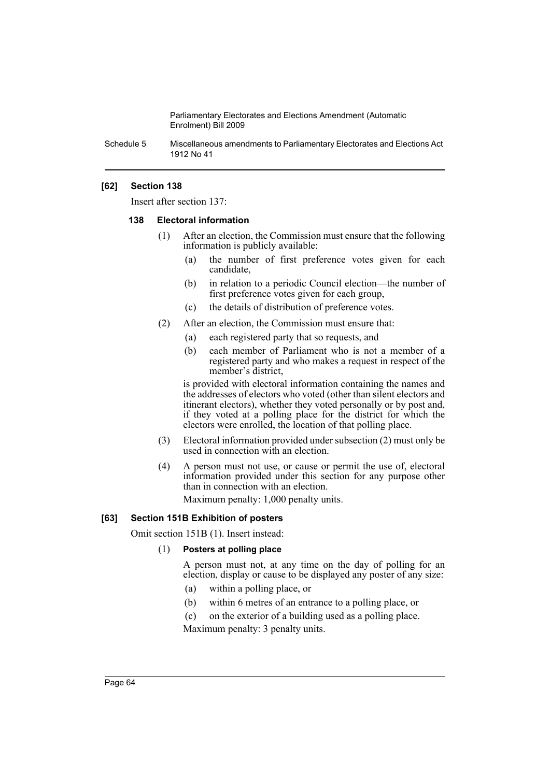Schedule 5 Miscellaneous amendments to Parliamentary Electorates and Elections Act 1912 No 41

## **[62] Section 138**

Insert after section 137:

#### **138 Electoral information**

- (1) After an election, the Commission must ensure that the following information is publicly available:
	- (a) the number of first preference votes given for each candidate,
	- (b) in relation to a periodic Council election—the number of first preference votes given for each group,
	- (c) the details of distribution of preference votes.
- (2) After an election, the Commission must ensure that:
	- (a) each registered party that so requests, and
	- (b) each member of Parliament who is not a member of a registered party and who makes a request in respect of the member's district,

is provided with electoral information containing the names and the addresses of electors who voted (other than silent electors and itinerant electors), whether they voted personally or by post and, if they voted at a polling place for the district for which the electors were enrolled, the location of that polling place.

- (3) Electoral information provided under subsection (2) must only be used in connection with an election.
- (4) A person must not use, or cause or permit the use of, electoral information provided under this section for any purpose other than in connection with an election.

Maximum penalty: 1,000 penalty units.

#### **[63] Section 151B Exhibition of posters**

Omit section 151B (1). Insert instead:

#### (1) **Posters at polling place**

A person must not, at any time on the day of polling for an election, display or cause to be displayed any poster of any size:

- (a) within a polling place, or
- (b) within 6 metres of an entrance to a polling place, or
- (c) on the exterior of a building used as a polling place.

Maximum penalty: 3 penalty units.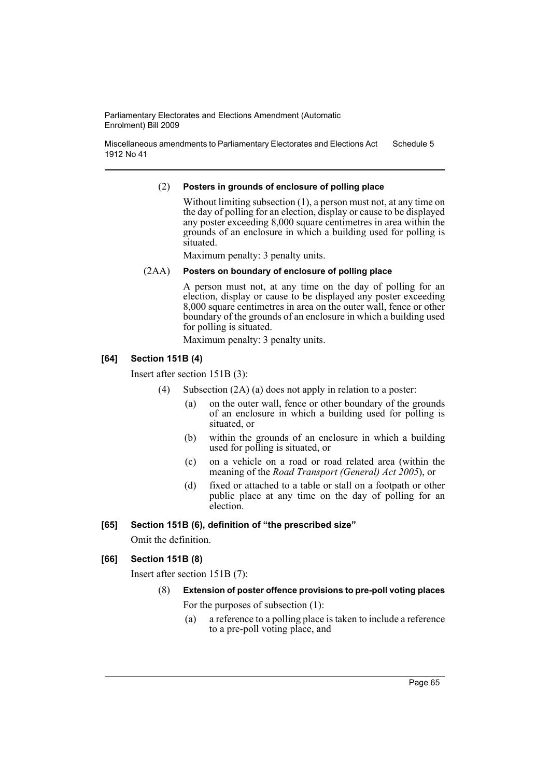Miscellaneous amendments to Parliamentary Electorates and Elections Act 1912 No 41 Schedule 5

### (2) **Posters in grounds of enclosure of polling place**

Without limiting subsection (1), a person must not, at any time on the day of polling for an election, display or cause to be displayed any poster exceeding 8,000 square centimetres in area within the grounds of an enclosure in which a building used for polling is situated.

Maximum penalty: 3 penalty units.

## (2AA) **Posters on boundary of enclosure of polling place**

A person must not, at any time on the day of polling for an election, display or cause to be displayed any poster exceeding 8,000 square centimetres in area on the outer wall, fence or other boundary of the grounds of an enclosure in which a building used for polling is situated.

Maximum penalty: 3 penalty units.

## **[64] Section 151B (4)**

Insert after section 151B (3):

- (4) Subsection (2A) (a) does not apply in relation to a poster:
	- (a) on the outer wall, fence or other boundary of the grounds of an enclosure in which a building used for polling is situated, or
	- (b) within the grounds of an enclosure in which a building used for polling is situated, or
	- (c) on a vehicle on a road or road related area (within the meaning of the *Road Transport (General) Act 2005*), or
	- (d) fixed or attached to a table or stall on a footpath or other public place at any time on the day of polling for an election.

## **[65] Section 151B (6), definition of "the prescribed size"**

Omit the definition.

## **[66] Section 151B (8)**

Insert after section 151B (7):

## (8) **Extension of poster offence provisions to pre-poll voting places**

For the purposes of subsection (1):

(a) a reference to a polling place is taken to include a reference to a pre-poll voting place, and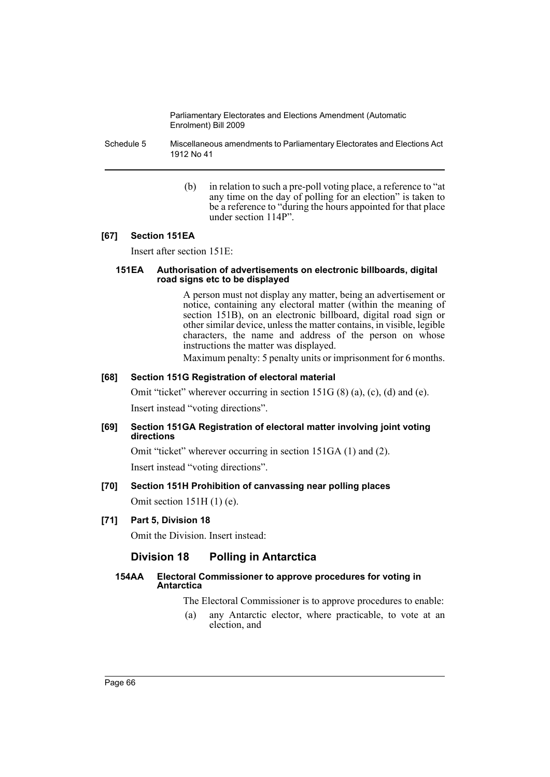Schedule 5 Miscellaneous amendments to Parliamentary Electorates and Elections Act 1912 No 41

> (b) in relation to such a pre-poll voting place, a reference to "at any time on the day of polling for an election" is taken to be a reference to "during the hours appointed for that place under section 114P".

## **[67] Section 151EA**

Insert after section 151E:

#### **151EA Authorisation of advertisements on electronic billboards, digital road signs etc to be displayed**

A person must not display any matter, being an advertisement or notice, containing any electoral matter (within the meaning of section 151B), on an electronic billboard, digital road sign or other similar device, unless the matter contains, in visible, legible characters, the name and address of the person on whose instructions the matter was displayed.

Maximum penalty: 5 penalty units or imprisonment for 6 months.

## **[68] Section 151G Registration of electoral material**

Omit "ticket" wherever occurring in section 151G (8) (a), (c), (d) and (e). Insert instead "voting directions".

## **[69] Section 151GA Registration of electoral matter involving joint voting directions**

Omit "ticket" wherever occurring in section 151GA (1) and (2). Insert instead "voting directions".

# **[70] Section 151H Prohibition of canvassing near polling places**

Omit section 151H (1) (e).

## **[71] Part 5, Division 18**

Omit the Division. Insert instead:

# **Division 18 Polling in Antarctica**

## **154AA Electoral Commissioner to approve procedures for voting in Antarctica**

The Electoral Commissioner is to approve procedures to enable:

(a) any Antarctic elector, where practicable, to vote at an election, and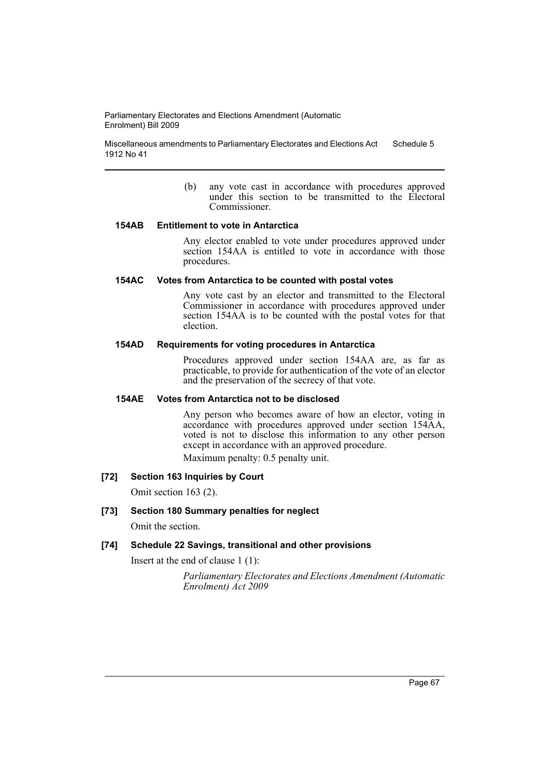Miscellaneous amendments to Parliamentary Electorates and Elections Act 1912 No 41 Schedule 5

> (b) any vote cast in accordance with procedures approved under this section to be transmitted to the Electoral Commissioner.

#### **154AB Entitlement to vote in Antarctica**

Any elector enabled to vote under procedures approved under section 154AA is entitled to vote in accordance with those procedures.

### **154AC Votes from Antarctica to be counted with postal votes**

Any vote cast by an elector and transmitted to the Electoral Commissioner in accordance with procedures approved under section 154AA is to be counted with the postal votes for that election.

#### **154AD Requirements for voting procedures in Antarctica**

Procedures approved under section 154AA are, as far as practicable, to provide for authentication of the vote of an elector and the preservation of the secrecy of that vote.

## **154AE Votes from Antarctica not to be disclosed**

Any person who becomes aware of how an elector, voting in accordance with procedures approved under section 154AA, voted is not to disclose this information to any other person except in accordance with an approved procedure.

Maximum penalty: 0.5 penalty unit.

# **[72] Section 163 Inquiries by Court**

Omit section 163 (2).

#### **[73] Section 180 Summary penalties for neglect**

Omit the section.

### **[74] Schedule 22 Savings, transitional and other provisions**

Insert at the end of clause 1 (1):

*Parliamentary Electorates and Elections Amendment (Automatic Enrolment) Act 2009*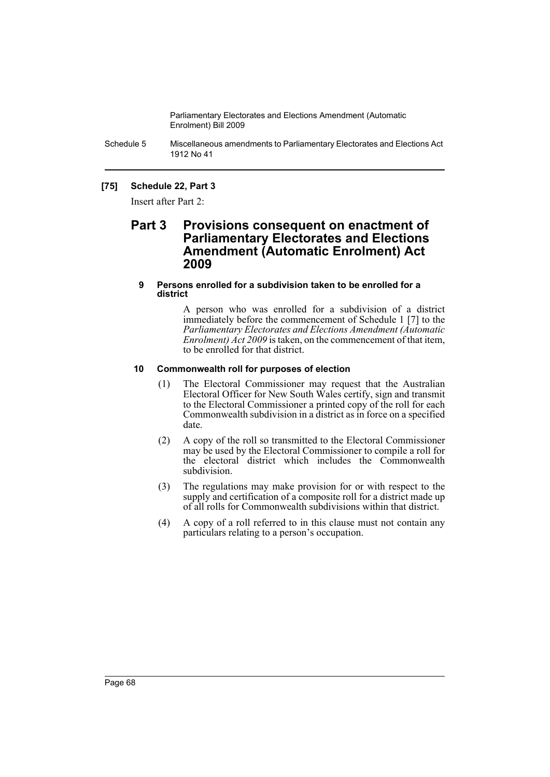Schedule 5 Miscellaneous amendments to Parliamentary Electorates and Elections Act 1912 No 41

## **[75] Schedule 22, Part 3**

Insert after Part 2:

# **Part 3 Provisions consequent on enactment of Parliamentary Electorates and Elections Amendment (Automatic Enrolment) Act 2009**

### **9 Persons enrolled for a subdivision taken to be enrolled for a district**

A person who was enrolled for a subdivision of a district immediately before the commencement of Schedule 1 [7] to the *Parliamentary Electorates and Elections Amendment (Automatic Enrolment) Act 2009* is taken, on the commencement of that item, to be enrolled for that district.

## **10 Commonwealth roll for purposes of election**

- (1) The Electoral Commissioner may request that the Australian Electoral Officer for New South Wales certify, sign and transmit to the Electoral Commissioner a printed copy of the roll for each Commonwealth subdivision in a district as in force on a specified date.
- (2) A copy of the roll so transmitted to the Electoral Commissioner may be used by the Electoral Commissioner to compile a roll for the electoral district which includes the Commonwealth subdivision.
- (3) The regulations may make provision for or with respect to the supply and certification of a composite roll for a district made up of all rolls for Commonwealth subdivisions within that district.
- (4) A copy of a roll referred to in this clause must not contain any particulars relating to a person's occupation.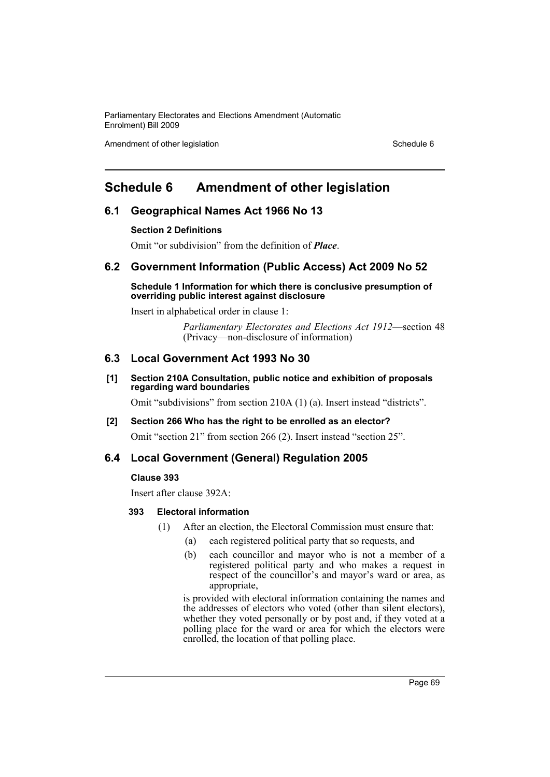Amendment of other legislation Schedule 6

# **Schedule 6 Amendment of other legislation**

# **6.1 Geographical Names Act 1966 No 13**

## **Section 2 Definitions**

Omit "or subdivision" from the definition of *Place*.

# **6.2 Government Information (Public Access) Act 2009 No 52**

### **Schedule 1 Information for which there is conclusive presumption of overriding public interest against disclosure**

Insert in alphabetical order in clause 1:

*Parliamentary Electorates and Elections Act 1912*—section 48 (Privacy—non-disclosure of information)

# **6.3 Local Government Act 1993 No 30**

## **[1] Section 210A Consultation, public notice and exhibition of proposals regarding ward boundaries**

Omit "subdivisions" from section 210A (1) (a). Insert instead "districts".

# **[2] Section 266 Who has the right to be enrolled as an elector?**

Omit "section 21" from section 266 (2). Insert instead "section 25".

# **6.4 Local Government (General) Regulation 2005**

## **Clause 393**

Insert after clause 392A:

## **393 Electoral information**

- (1) After an election, the Electoral Commission must ensure that:
	- (a) each registered political party that so requests, and
	- (b) each councillor and mayor who is not a member of a registered political party and who makes a request in respect of the councillor's and mayor's ward or area, as appropriate,

is provided with electoral information containing the names and the addresses of electors who voted (other than silent electors), whether they voted personally or by post and, if they voted at a polling place for the ward or area for which the electors were enrolled, the location of that polling place.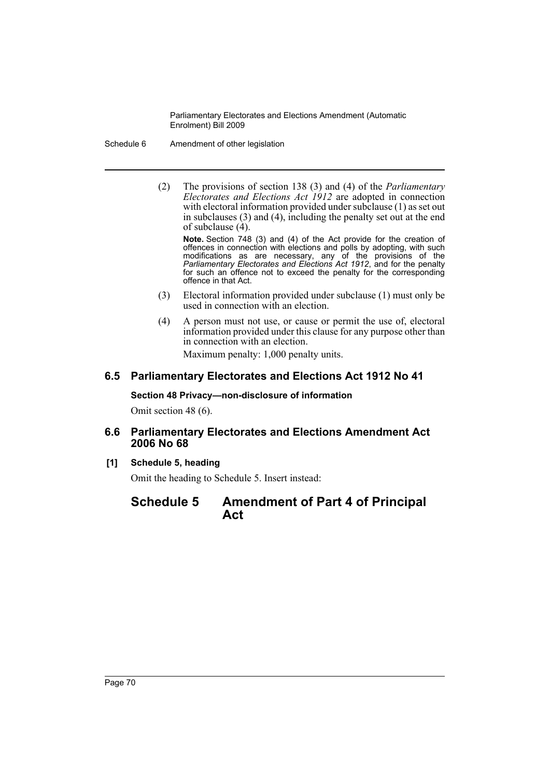Schedule 6 Amendment of other legislation

(2) The provisions of section 138 (3) and (4) of the *Parliamentary Electorates and Elections Act 1912* are adopted in connection with electoral information provided under subclause (1) as set out in subclauses (3) and (4), including the penalty set out at the end of subclause (4).

**Note.** Section 748 (3) and (4) of the Act provide for the creation of offences in connection with elections and polls by adopting, with such modifications as are necessary, any of the provisions of the *Parliamentary Electorates and Elections Act 1912*, and for the penalty for such an offence not to exceed the penalty for the corresponding offence in that Act.

- (3) Electoral information provided under subclause (1) must only be used in connection with an election.
- (4) A person must not use, or cause or permit the use of, electoral information provided under this clause for any purpose other than in connection with an election.

Maximum penalty: 1,000 penalty units.

# **6.5 Parliamentary Electorates and Elections Act 1912 No 41**

## **Section 48 Privacy—non-disclosure of information**

Omit section 48 (6).

# **6.6 Parliamentary Electorates and Elections Amendment Act 2006 No 68**

**[1] Schedule 5, heading**

Omit the heading to Schedule 5. Insert instead:

# **Schedule 5 Amendment of Part 4 of Principal Act**